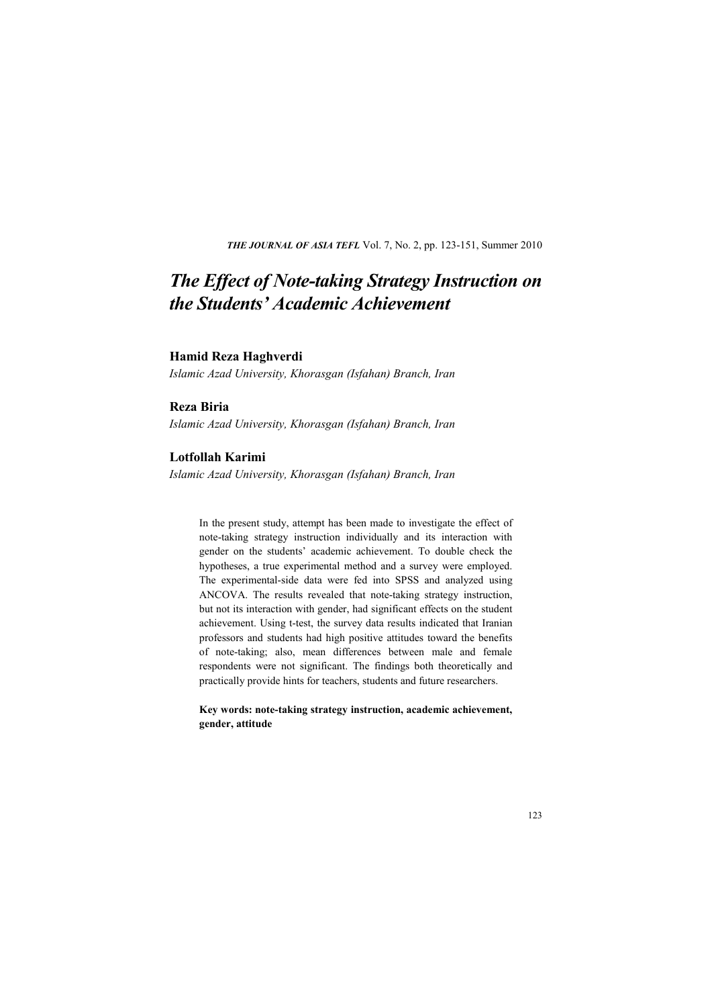**THE JOURNAL OF ASIA TEFL Vol. 7, No. 2, pp. 123-151, Summer 2010** 

# *The Effect of Note-taking Strategy Instruction on the Students' Academic Achievement*

#### **Hamid Reza Haghverdi**

*Islamic Azad University, Khorasgan (Isfahan) Branch, Iran*

#### **Reza Biria**

*Islamic Azad University, Khorasgan (Isfahan) Branch, Iran* 

#### **Lotfollah Karimi**

*Islamic Azad University, Khorasgan (Isfahan) Branch, Iran* 

In the present study, attempt has been made to investigate the effect of note-taking strategy instruction individually and its interaction with gender on the students' academic achievement. To double check the hypotheses, a true experimental method and a survey were employed. The experimental-side data were fed into SPSS and analyzed using ANCOVA. The results revealed that note-taking strategy instruction, but not its interaction with gender, had significant effects on the student achievement. Using t-test, the survey data results indicated that Iranian professors and students had high positive attitudes toward the benefits of note-taking; also, mean differences between male and female respondents were not significant. The findings both theoretically and practically provide hints for teachers, students and future researchers.

**Key words: note-taking strategy instruction, academic achievement, gender, attitude**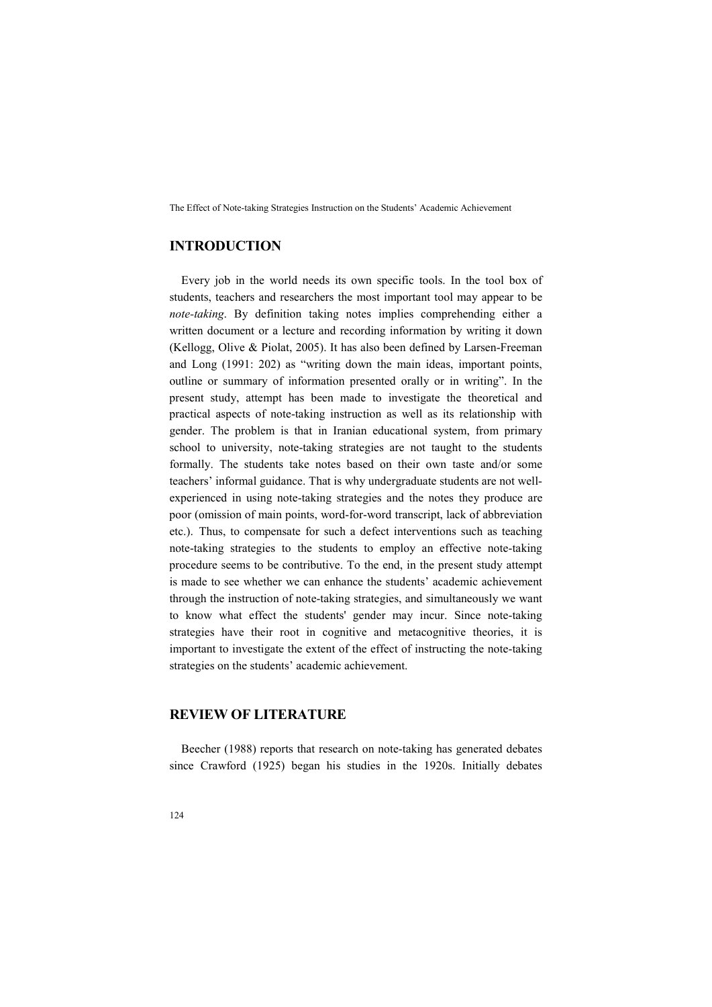## **INTRODUCTION**

Every job in the world needs its own specific tools. In the tool box of students, teachers and researchers the most important tool may appear to be *note-taking*. By definition taking notes implies comprehending either a written document or a lecture and recording information by writing it down (Kellogg, Olive & Piolat, 2005). It has also been defined by Larsen-Freeman and Long (1991: 202) as "writing down the main ideas, important points, outline or summary of information presented orally or in writing". In the present study, attempt has been made to investigate the theoretical and practical aspects of note-taking instruction as well as its relationship with gender. The problem is that in Iranian educational system, from primary school to university, note-taking strategies are not taught to the students formally. The students take notes based on their own taste and/or some teachers' informal guidance. That is why undergraduate students are not wellexperienced in using note-taking strategies and the notes they produce are poor (omission of main points, word-for-word transcript, lack of abbreviation etc.). Thus, to compensate for such a defect interventions such as teaching note-taking strategies to the students to employ an effective note-taking procedure seems to be contributive. To the end, in the present study attempt is made to see whether we can enhance the students' academic achievement through the instruction of note-taking strategies, and simultaneously we want to know what effect the students' gender may incur. Since note-taking strategies have their root in cognitive and metacognitive theories, it is important to investigate the extent of the effect of instructing the note-taking strategies on the students' academic achievement.

### **REVIEW OF LITERATURE**

Beecher (1988) reports that research on note-taking has generated debates since Crawford (1925) began his studies in the 1920s. Initially debates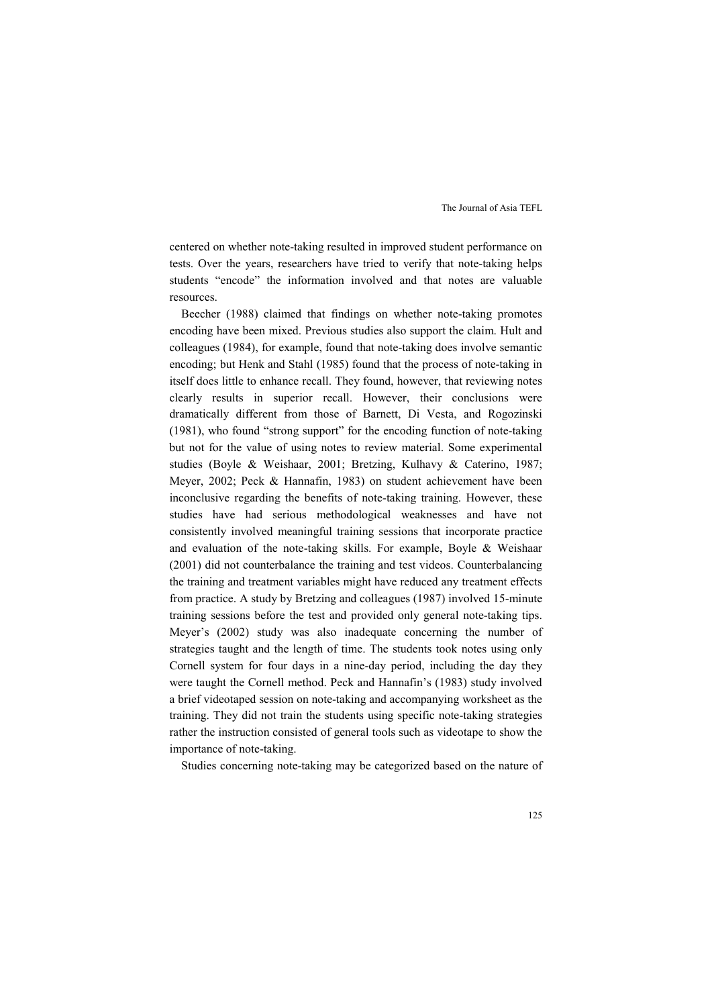centered on whether note-taking resulted in improved student performance on tests. Over the years, researchers have tried to verify that note-taking helps students "encode" the information involved and that notes are valuable resources.

Beecher (1988) claimed that findings on whether note-taking promotes encoding have been mixed. Previous studies also support the claim. Hult and colleagues (1984), for example, found that note-taking does involve semantic encoding; but Henk and Stahl (1985) found that the process of note-taking in itself does little to enhance recall. They found, however, that reviewing notes clearly results in superior recall. However, their conclusions were dramatically different from those of Barnett, Di Vesta, and Rogozinski (1981), who found "strong support" for the encoding function of note-taking but not for the value of using notes to review material. Some experimental studies (Boyle & Weishaar, 2001; Bretzing, Kulhavy & Caterino, 1987; Meyer, 2002; Peck & Hannafin, 1983) on student achievement have been inconclusive regarding the benefits of note-taking training. However, these studies have had serious methodological weaknesses and have not consistently involved meaningful training sessions that incorporate practice and evaluation of the note-taking skills. For example, Boyle & Weishaar (2001) did not counterbalance the training and test videos. Counterbalancing the training and treatment variables might have reduced any treatment effects from practice. A study by Bretzing and colleagues (1987) involved 15-minute training sessions before the test and provided only general note-taking tips. Meyer's (2002) study was also inadequate concerning the number of strategies taught and the length of time. The students took notes using only Cornell system for four days in a nine-day period, including the day they were taught the Cornell method. Peck and Hannafin's (1983) study involved a brief videotaped session on note-taking and accompanying worksheet as the training. They did not train the students using specific note-taking strategies rather the instruction consisted of general tools such as videotape to show the importance of note-taking.

Studies concerning note-taking may be categorized based on the nature of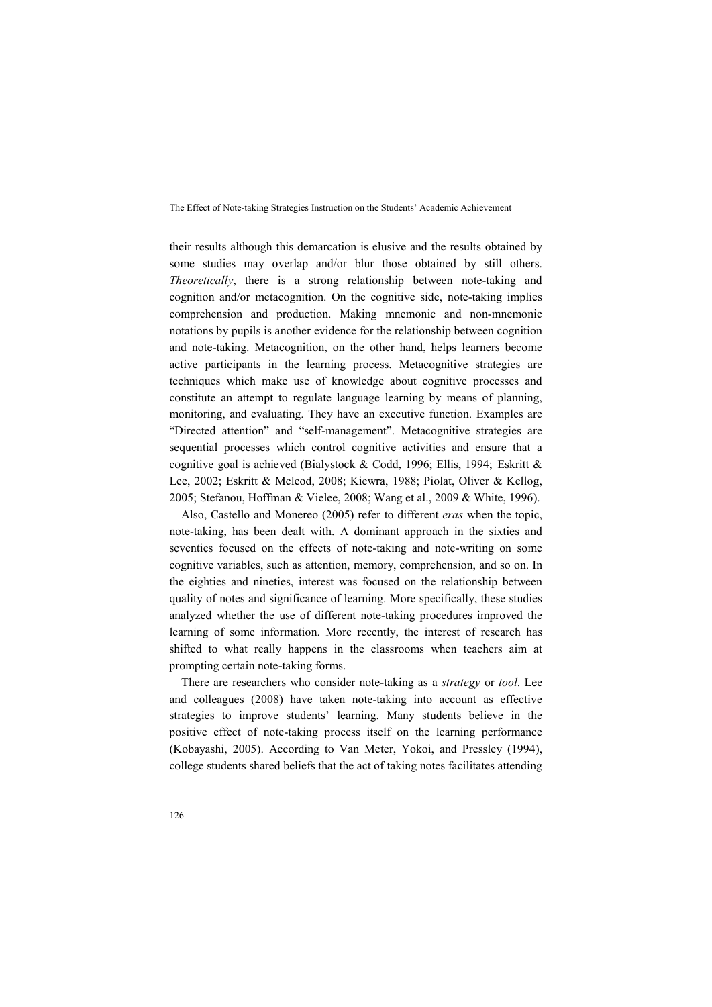their results although this demarcation is elusive and the results obtained by some studies may overlap and/or blur those obtained by still others. *Theoretically*, there is a strong relationship between note-taking and cognition and/or metacognition. On the cognitive side, note-taking implies comprehension and production. Making mnemonic and non-mnemonic notations by pupils is another evidence for the relationship between cognition and note-taking. Metacognition, on the other hand, helps learners become active participants in the learning process. Metacognitive strategies are techniques which make use of knowledge about cognitive processes and constitute an attempt to regulate language learning by means of planning, monitoring, and evaluating. They have an executive function. Examples are "Directed attention" and "self-management". Metacognitive strategies are sequential processes which control cognitive activities and ensure that a cognitive goal is achieved (Bialystock & Codd, 1996; Ellis, 1994; Eskritt & Lee, 2002; Eskritt & Mcleod, 2008; Kiewra, 1988; Piolat, Oliver & Kellog, 2005; Stefanou, Hoffman & Vielee, 2008; Wang et al., 2009 & White, 1996).

Also, Castello and Monereo (2005) refer to different *eras* when the topic, note-taking, has been dealt with. A dominant approach in the sixties and seventies focused on the effects of note-taking and note-writing on some cognitive variables, such as attention, memory, comprehension, and so on. In the eighties and nineties, interest was focused on the relationship between quality of notes and significance of learning. More specifically, these studies analyzed whether the use of different note-taking procedures improved the learning of some information. More recently, the interest of research has shifted to what really happens in the classrooms when teachers aim at prompting certain note-taking forms.

There are researchers who consider note-taking as a *strategy* or *tool*. Lee and colleagues (2008) have taken note-taking into account as effective strategies to improve students' learning. Many students believe in the positive effect of note-taking process itself on the learning performance (Kobayashi, 2005). According to Van Meter, Yokoi, and Pressley (1994), college students shared beliefs that the act of taking notes facilitates attending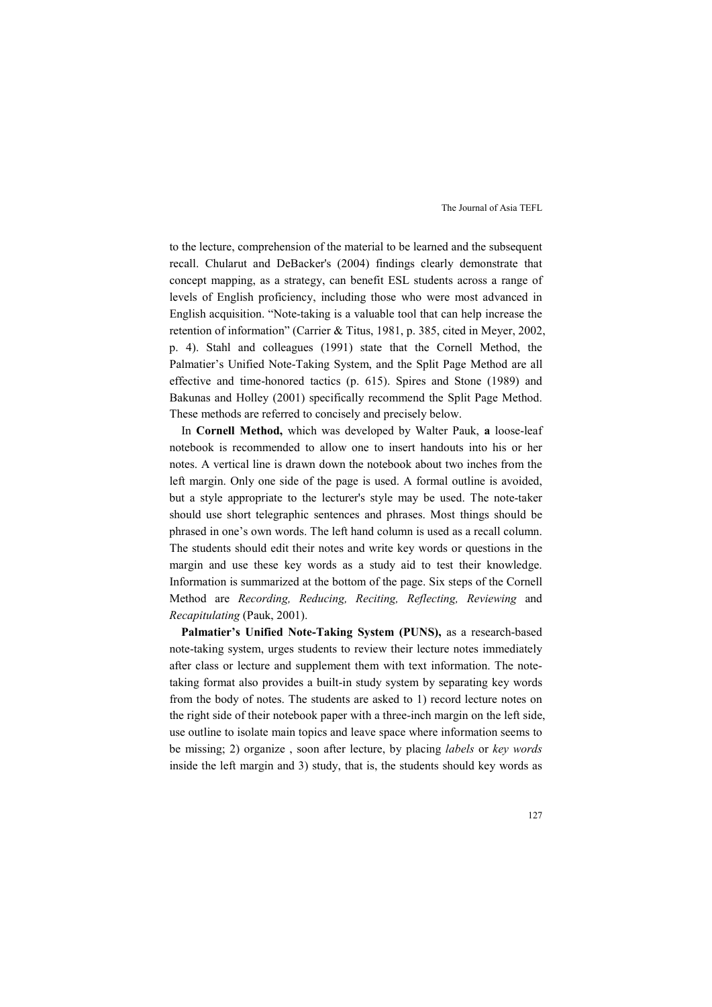to the lecture, comprehension of the material to be learned and the subsequent recall. Chularut and DeBacker's (2004) findings clearly demonstrate that concept mapping, as a strategy, can benefit ESL students across a range of levels of English proficiency, including those who were most advanced in English acquisition. "Note-taking is a valuable tool that can help increase the retention of information" (Carrier & Titus, 1981, p. 385, cited in Meyer, 2002, p. 4). Stahl and colleagues (1991) state that the Cornell Method, the Palmatier's Unified Note-Taking System, and the Split Page Method are all effective and time-honored tactics (p. 615). Spires and Stone (1989) and Bakunas and Holley (2001) specifically recommend the Split Page Method. These methods are referred to concisely and precisely below.

In **Cornell Method,** which was developed by Walter Pauk, **a** loose-leaf notebook is recommended to allow one to insert handouts into his or her notes. A vertical line is drawn down the notebook about two inches from the left margin. Only one side of the page is used. A formal outline is avoided, but a style appropriate to the lecturer's style may be used. The note-taker should use short telegraphic sentences and phrases. Most things should be phrased in one's own words. The left hand column is used as a recall column. The students should edit their notes and write key words or questions in the margin and use these key words as a study aid to test their knowledge. Information is summarized at the bottom of the page. Six steps of the Cornell Method are *Recording, Reducing, Reciting, Reflecting, Reviewing* and *Recapitulating* (Pauk, 2001).

Palmatier's Unified Note-Taking System (PUNS), as a research-based note-taking system, urges students to review their lecture notes immediately after class or lecture and supplement them with text information. The notetaking format also provides a built-in study system by separating key words from the body of notes. The students are asked to 1) record lecture notes on the right side of their notebook paper with a three-inch margin on the left side, use outline to isolate main topics and leave space where information seems to be missing; 2) organize , soon after lecture, by placing *labels* or *key words*  inside the left margin and 3) study, that is, the students should key words as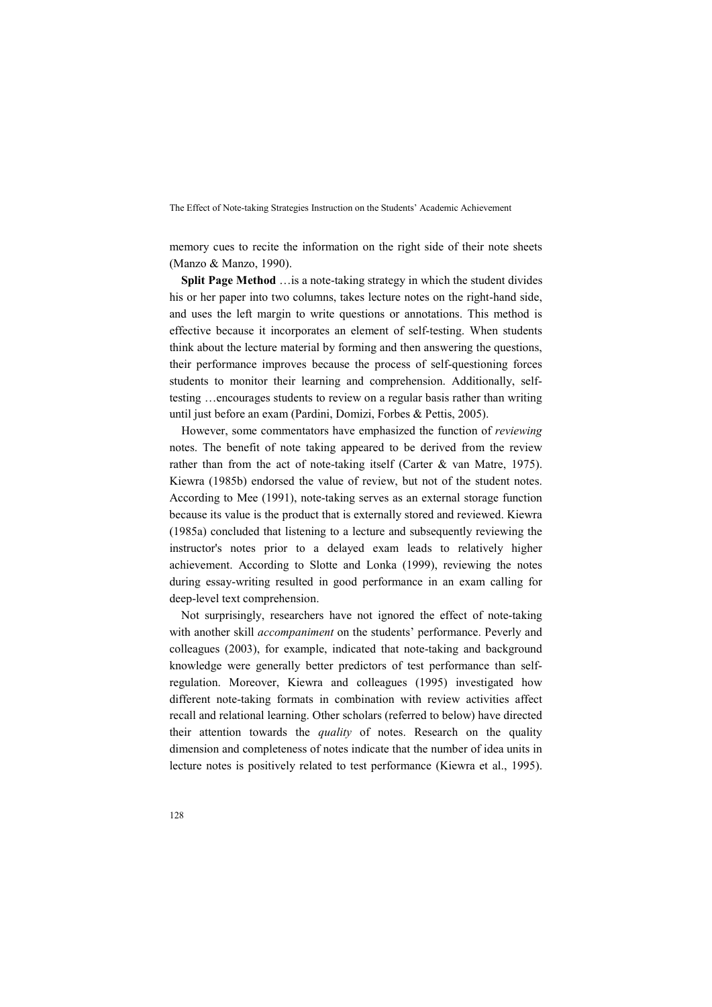memory cues to recite the information on the right side of their note sheets (Manzo & Manzo, 1990).

**Split Page Method** …is a note-taking strategy in which the student divides his or her paper into two columns, takes lecture notes on the right-hand side, and uses the left margin to write questions or annotations. This method is effective because it incorporates an element of self-testing. When students think about the lecture material by forming and then answering the questions, their performance improves because the process of self-questioning forces students to monitor their learning and comprehension. Additionally, selftesting …encourages students to review on a regular basis rather than writing until just before an exam (Pardini, Domizi, Forbes & Pettis, 2005).

However, some commentators have emphasized the function of *reviewing*  notes. The benefit of note taking appeared to be derived from the review rather than from the act of note-taking itself (Carter & van Matre, 1975). Kiewra (1985b) endorsed the value of review, but not of the student notes. According to Mee (1991), note-taking serves as an external storage function because its value is the product that is externally stored and reviewed. Kiewra (1985a) concluded that listening to a lecture and subsequently reviewing the instructor's notes prior to a delayed exam leads to relatively higher achievement. According to Slotte and Lonka (1999), reviewing the notes during essay-writing resulted in good performance in an exam calling for deep-level text comprehension.

Not surprisingly, researchers have not ignored the effect of note-taking with another skill *accompaniment* on the students' performance. Peverly and colleagues (2003), for example, indicated that note-taking and background knowledge were generally better predictors of test performance than selfregulation. Moreover, Kiewra and colleagues (1995) investigated how different note-taking formats in combination with review activities affect recall and relational learning. Other scholars (referred to below) have directed their attention towards the *quality* of notes. Research on the quality dimension and completeness of notes indicate that the number of idea units in lecture notes is positively related to test performance (Kiewra et al., 1995).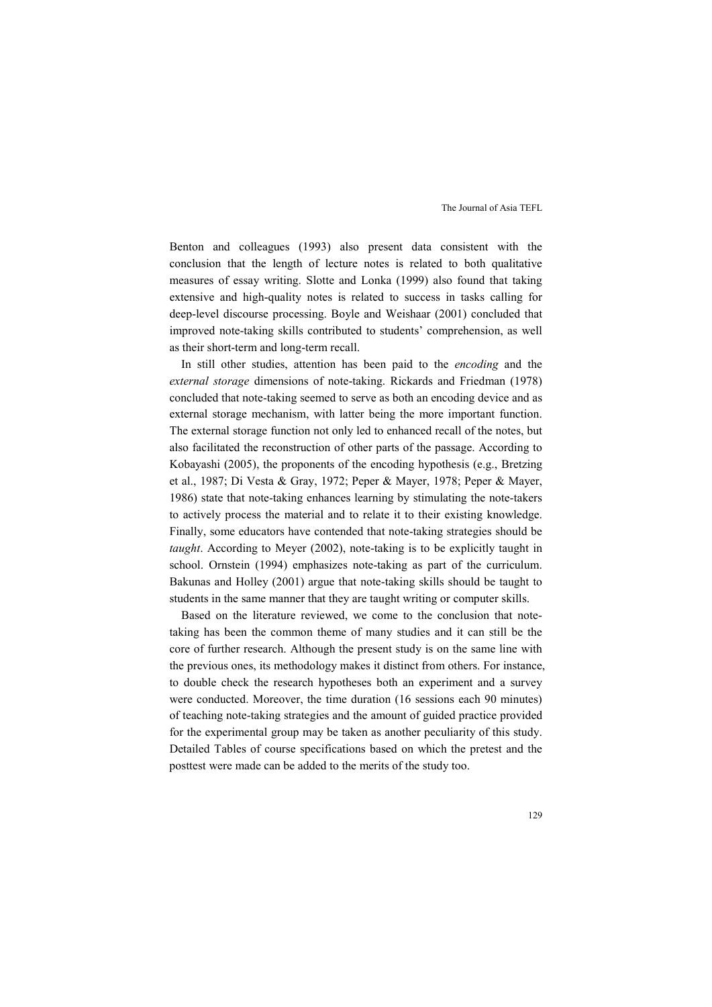Benton and colleagues (1993) also present data consistent with the conclusion that the length of lecture notes is related to both qualitative measures of essay writing. Slotte and Lonka (1999) also found that taking extensive and high-quality notes is related to success in tasks calling for deep-level discourse processing. Boyle and Weishaar (2001) concluded that improved note-taking skills contributed to students' comprehension, as well as their short-term and long-term recall.

In still other studies, attention has been paid to the *encoding* and the *external storage* dimensions of note-taking. Rickards and Friedman (1978) concluded that note-taking seemed to serve as both an encoding device and as external storage mechanism, with latter being the more important function. The external storage function not only led to enhanced recall of the notes, but also facilitated the reconstruction of other parts of the passage. According to Kobayashi (2005), the proponents of the encoding hypothesis (e.g., Bretzing et al., 1987; Di Vesta & Gray, 1972; Peper & Mayer, 1978; Peper & Mayer, 1986) state that note-taking enhances learning by stimulating the note-takers to actively process the material and to relate it to their existing knowledge. Finally, some educators have contended that note-taking strategies should be *taught*. According to Meyer (2002), note-taking is to be explicitly taught in school. Ornstein (1994) emphasizes note-taking as part of the curriculum. Bakunas and Holley (2001) argue that note-taking skills should be taught to students in the same manner that they are taught writing or computer skills.

Based on the literature reviewed, we come to the conclusion that notetaking has been the common theme of many studies and it can still be the core of further research. Although the present study is on the same line with the previous ones, its methodology makes it distinct from others. For instance, to double check the research hypotheses both an experiment and a survey were conducted. Moreover, the time duration (16 sessions each 90 minutes) of teaching note-taking strategies and the amount of guided practice provided for the experimental group may be taken as another peculiarity of this study. Detailed Tables of course specifications based on which the pretest and the posttest were made can be added to the merits of the study too.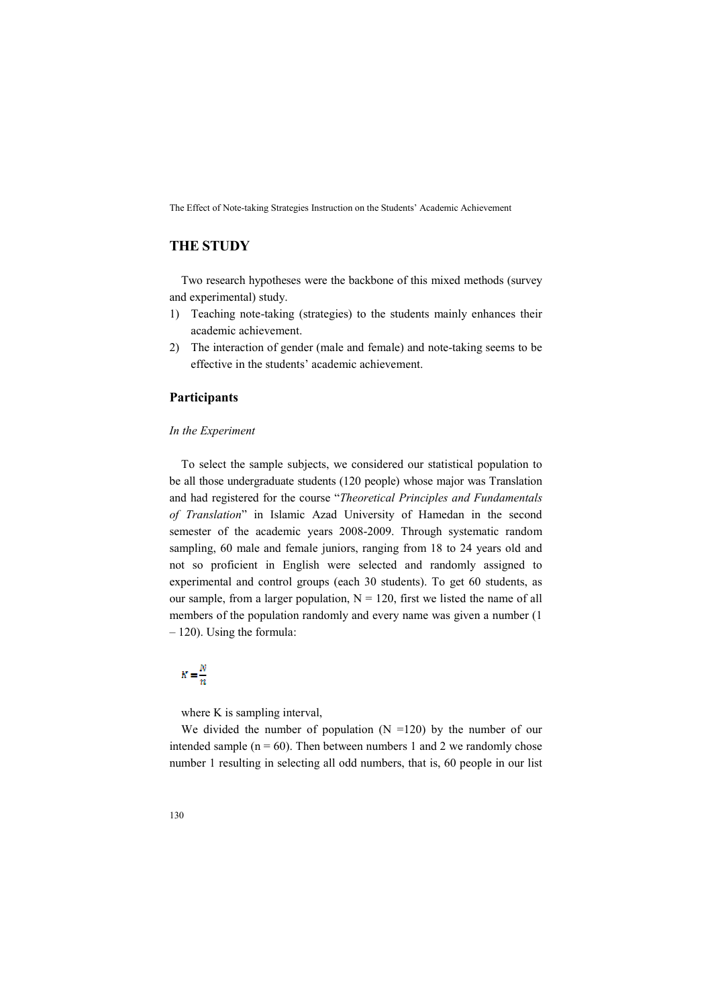## **THE STUDY**

Two research hypotheses were the backbone of this mixed methods (survey and experimental) study.

- 1) Teaching note-taking (strategies) to the students mainly enhances their academic achievement.
- 2) The interaction of gender (male and female) and note-taking seems to be effective in the students' academic achievement.

#### **Participants**

#### *In the Experiment*

To select the sample subjects, we considered our statistical population to be all those undergraduate students (120 people) whose major was Translation and had registered for the course "*Theoretical Principles and Fundamentals of Translation*" in Islamic Azad University of Hamedan in the second semester of the academic years 2008-2009. Through systematic random sampling, 60 male and female juniors, ranging from 18 to 24 years old and not so proficient in English were selected and randomly assigned to experimental and control groups (each 30 students). To get 60 students, as our sample, from a larger population,  $N = 120$ , first we listed the name of all members of the population randomly and every name was given a number (1 – 120). Using the formula:

# $K=\frac{N}{n}$

where K is sampling interval,

We divided the number of population  $(N = 120)$  by the number of our intended sample ( $n = 60$ ). Then between numbers 1 and 2 we randomly chose number 1 resulting in selecting all odd numbers, that is, 60 people in our list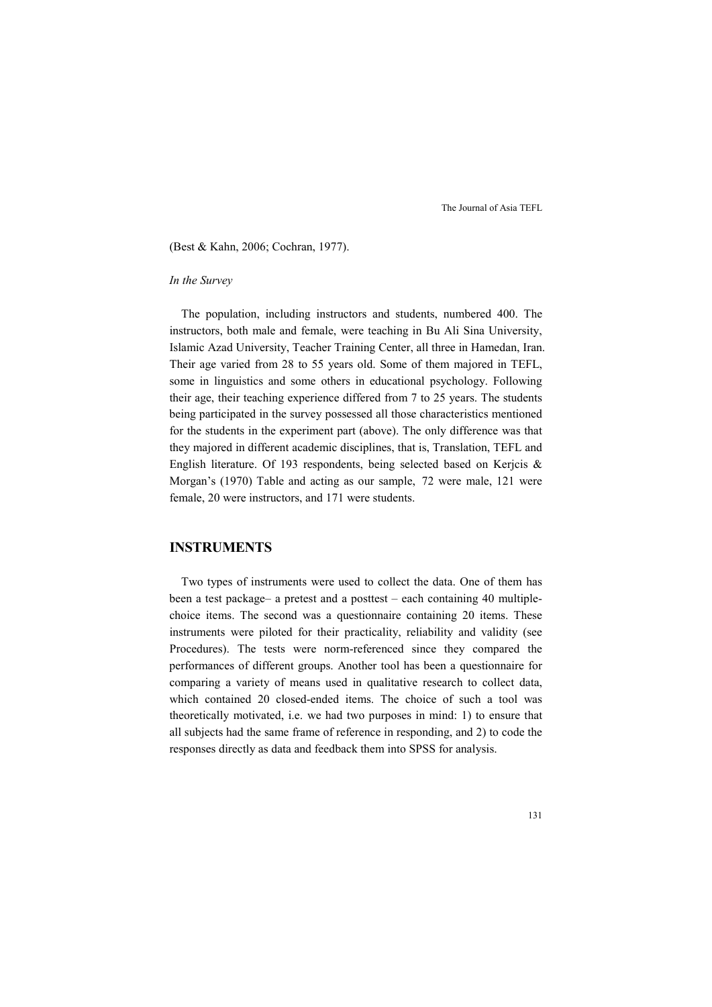(Best & Kahn, 2006; Cochran, 1977).

#### *In the Survey*

The population, including instructors and students, numbered 400. The instructors, both male and female, were teaching in Bu Ali Sina University, Islamic Azad University, Teacher Training Center, all three in Hamedan, Iran. Their age varied from 28 to 55 years old. Some of them majored in TEFL, some in linguistics and some others in educational psychology. Following their age, their teaching experience differed from 7 to 25 years. The students being participated in the survey possessed all those characteristics mentioned for the students in the experiment part (above). The only difference was that they majored in different academic disciplines, that is, Translation, TEFL and English literature. Of 193 respondents, being selected based on Kerjcis & Morgan's (1970) Table and acting as our sample, 72 were male, 121 were female, 20 were instructors, and 171 were students.

### **INSTRUMENTS**

Two types of instruments were used to collect the data. One of them has been a test package– a pretest and a posttest – each containing 40 multiplechoice items. The second was a questionnaire containing 20 items. These instruments were piloted for their practicality, reliability and validity (see Procedures). The tests were norm-referenced since they compared the performances of different groups. Another tool has been a questionnaire for comparing a variety of means used in qualitative research to collect data, which contained 20 closed-ended items. The choice of such a tool was theoretically motivated, i.e. we had two purposes in mind: 1) to ensure that all subjects had the same frame of reference in responding, and 2) to code the responses directly as data and feedback them into SPSS for analysis.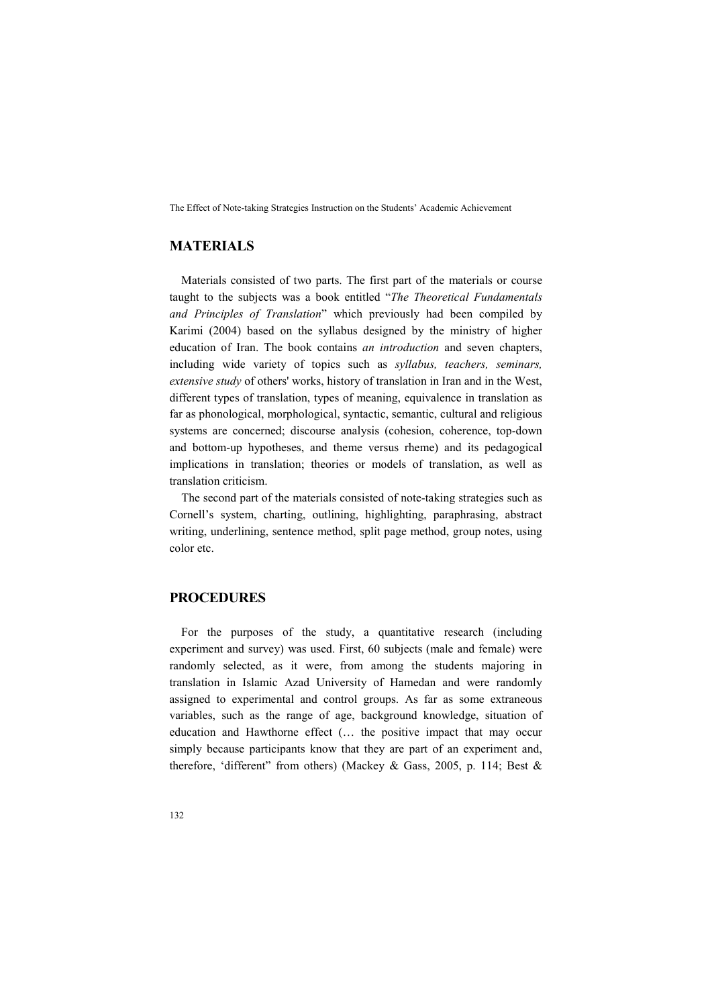## **MATERIALS**

Materials consisted of two parts. The first part of the materials or course taught to the subjects was a book entitled "*The Theoretical Fundamentals and Principles of Translation*" which previously had been compiled by Karimi (2004) based on the syllabus designed by the ministry of higher education of Iran. The book contains *an introduction* and seven chapters, including wide variety of topics such as *syllabus, teachers, seminars, extensive study* of others' works, history of translation in Iran and in the West, different types of translation, types of meaning, equivalence in translation as far as phonological, morphological, syntactic, semantic, cultural and religious systems are concerned; discourse analysis (cohesion, coherence, top-down and bottom-up hypotheses, and theme versus rheme) and its pedagogical implications in translation; theories or models of translation, as well as translation criticism.

The second part of the materials consisted of note-taking strategies such as Cornell's system, charting, outlining, highlighting, paraphrasing, abstract writing, underlining, sentence method, split page method, group notes, using color etc.

### **PROCEDURES**

For the purposes of the study, a quantitative research (including experiment and survey) was used. First, 60 subjects (male and female) were randomly selected, as it were, from among the students majoring in translation in Islamic Azad University of Hamedan and were randomly assigned to experimental and control groups. As far as some extraneous variables, such as the range of age, background knowledge, situation of education and Hawthorne effect (… the positive impact that may occur simply because participants know that they are part of an experiment and, therefore, 'different" from others) (Mackey & Gass, 2005, p. 114; Best &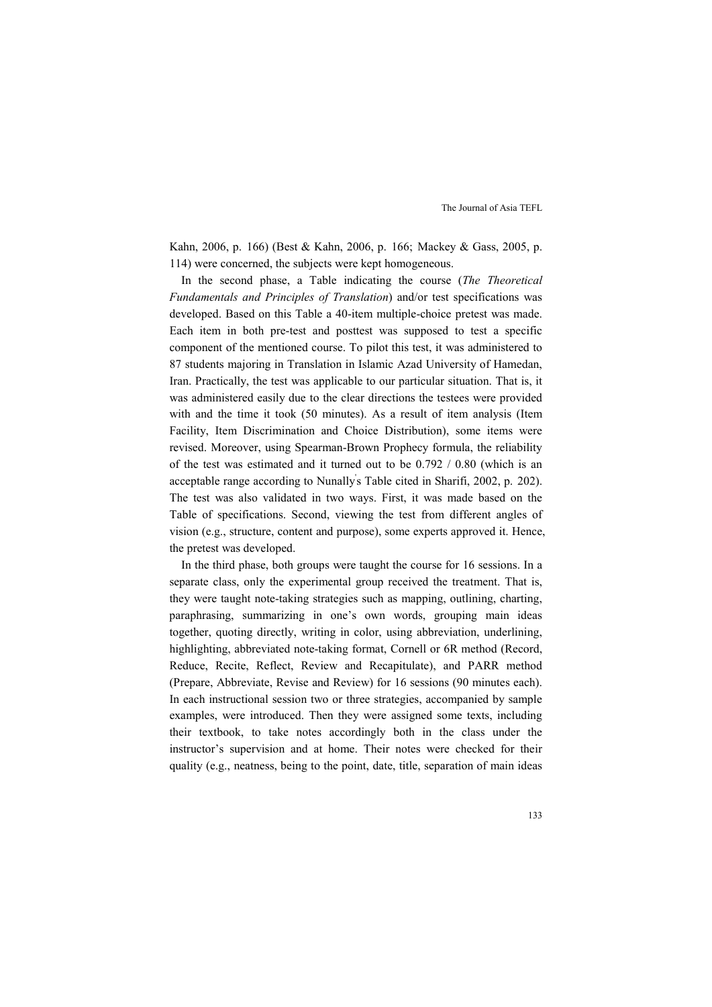Kahn, 2006, p. 166) (Best & Kahn, 2006, p. 166; Mackey & Gass, 2005, p. 114) were concerned, the subjects were kept homogeneous.

In the second phase, a Table indicating the course (*The Theoretical Fundamentals and Principles of Translation*) and/or test specifications was developed. Based on this Table a 40-item multiple-choice pretest was made. Each item in both pre-test and posttest was supposed to test a specific component of the mentioned course. To pilot this test, it was administered to 87 students majoring in Translation in Islamic Azad University of Hamedan, Iran. Practically, the test was applicable to our particular situation. That is, it was administered easily due to the clear directions the testees were provided with and the time it took (50 minutes). As a result of item analysis (Item Facility, Item Discrimination and Choice Distribution), some items were revised. Moreover, using Spearman-Brown Prophecy formula, the reliability of the test was estimated and it turned out to be 0.792 / 0.80 (which is an acceptable range according to Nunally' s Table cited in Sharifi, 2002, p. 202). The test was also validated in two ways. First, it was made based on the Table of specifications. Second, viewing the test from different angles of vision (e.g., structure, content and purpose), some experts approved it. Hence, the pretest was developed.

In the third phase, both groups were taught the course for 16 sessions. In a separate class, only the experimental group received the treatment. That is, they were taught note-taking strategies such as mapping, outlining, charting, paraphrasing, summarizing in one's own words, grouping main ideas together, quoting directly, writing in color, using abbreviation, underlining, highlighting, abbreviated note-taking format, Cornell or 6R method (Record, Reduce, Recite, Reflect, Review and Recapitulate), and PARR method (Prepare, Abbreviate, Revise and Review) for 16 sessions (90 minutes each). In each instructional session two or three strategies, accompanied by sample examples, were introduced. Then they were assigned some texts, including their textbook, to take notes accordingly both in the class under the instructor's supervision and at home. Their notes were checked for their quality (e.g., neatness, being to the point, date, title, separation of main ideas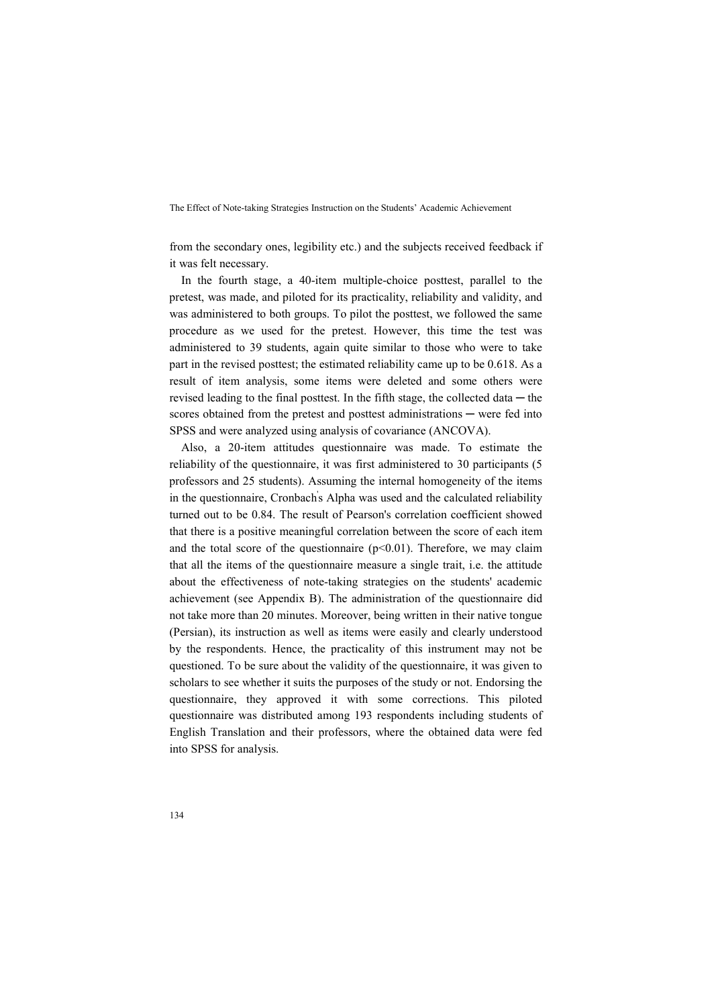from the secondary ones, legibility etc.) and the subjects received feedback if it was felt necessary.

In the fourth stage, a 40-item multiple-choice posttest, parallel to the pretest, was made, and piloted for its practicality, reliability and validity, and was administered to both groups. To pilot the posttest, we followed the same procedure as we used for the pretest. However, this time the test was administered to 39 students, again quite similar to those who were to take part in the revised posttest; the estimated reliability came up to be 0.618. As a result of item analysis, some items were deleted and some others were revised leading to the final posttest. In the fifth stage, the collected data  $-$  the scores obtained from the pretest and posttest administrations — were fed into SPSS and were analyzed using analysis of covariance (ANCOVA).

Also, a 20-item attitudes questionnaire was made. To estimate the reliability of the questionnaire, it was first administered to 30 participants (5 professors and 25 students). Assuming the internal homogeneity of the items in the questionnaire, Cronbach' s Alpha was used and the calculated reliability turned out to be 0.84. The result of Pearson's correlation coefficient showed that there is a positive meaningful correlation between the score of each item and the total score of the questionnaire  $(p<0.01)$ . Therefore, we may claim that all the items of the questionnaire measure a single trait, i.e. the attitude about the effectiveness of note-taking strategies on the students' academic achievement (see Appendix B). The administration of the questionnaire did not take more than 20 minutes. Moreover, being written in their native tongue (Persian), its instruction as well as items were easily and clearly understood by the respondents. Hence, the practicality of this instrument may not be questioned. To be sure about the validity of the questionnaire, it was given to scholars to see whether it suits the purposes of the study or not. Endorsing the questionnaire, they approved it with some corrections. This piloted questionnaire was distributed among 193 respondents including students of English Translation and their professors, where the obtained data were fed into SPSS for analysis.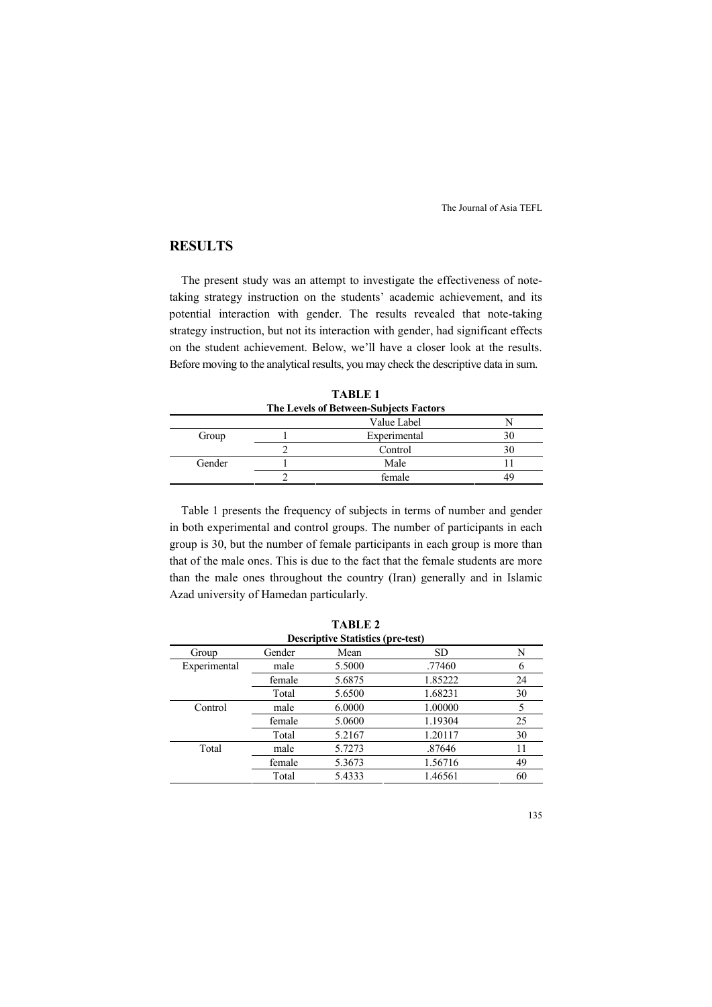## **RESULTS**

The present study was an attempt to investigate the effectiveness of notetaking strategy instruction on the students' academic achievement, and its potential interaction with gender. The results revealed that note-taking strategy instruction, but not its interaction with gender, had significant effects on the student achievement. Below, we'll have a closer look at the results. Before moving to the analytical results, you may check the descriptive data in sum.

|        | The Levels of Between-Subjects Factors |              |  |  |  |
|--------|----------------------------------------|--------------|--|--|--|
|        |                                        | Value Label  |  |  |  |
| Group  |                                        | Experimental |  |  |  |
|        |                                        | Control      |  |  |  |
| Gender |                                        | Male         |  |  |  |
|        |                                        | female       |  |  |  |

**TABLE 1** 

Table 1 presents the frequency of subjects in terms of number and gender in both experimental and control groups. The number of participants in each group is 30, but the number of female participants in each group is more than that of the male ones. This is due to the fact that the female students are more than the male ones throughout the country (Iran) generally and in Islamic Azad university of Hamedan particularly.

|                                          |        | 1711172 |         |    |  |
|------------------------------------------|--------|---------|---------|----|--|
| <b>Descriptive Statistics (pre-test)</b> |        |         |         |    |  |
| Group                                    | Gender | Mean    | SD      | N  |  |
| Experimental                             | male   | 5.5000  | .77460  | 6  |  |
|                                          | female | 5.6875  | 1.85222 | 24 |  |
|                                          | Total  | 5.6500  | 1.68231 | 30 |  |
| Control                                  | male   | 6.0000  | 1.00000 | 5  |  |
|                                          | female | 5.0600  | 1.19304 | 25 |  |
|                                          | Total  | 5.2167  | 1.20117 | 30 |  |
| Total                                    | male   | 5.7273  | .87646  | 11 |  |
|                                          | female | 5.3673  | 1.56716 | 49 |  |
|                                          | Total  | 5.4333  | 1.46561 | 60 |  |
|                                          |        |         |         |    |  |

**TABLE 2**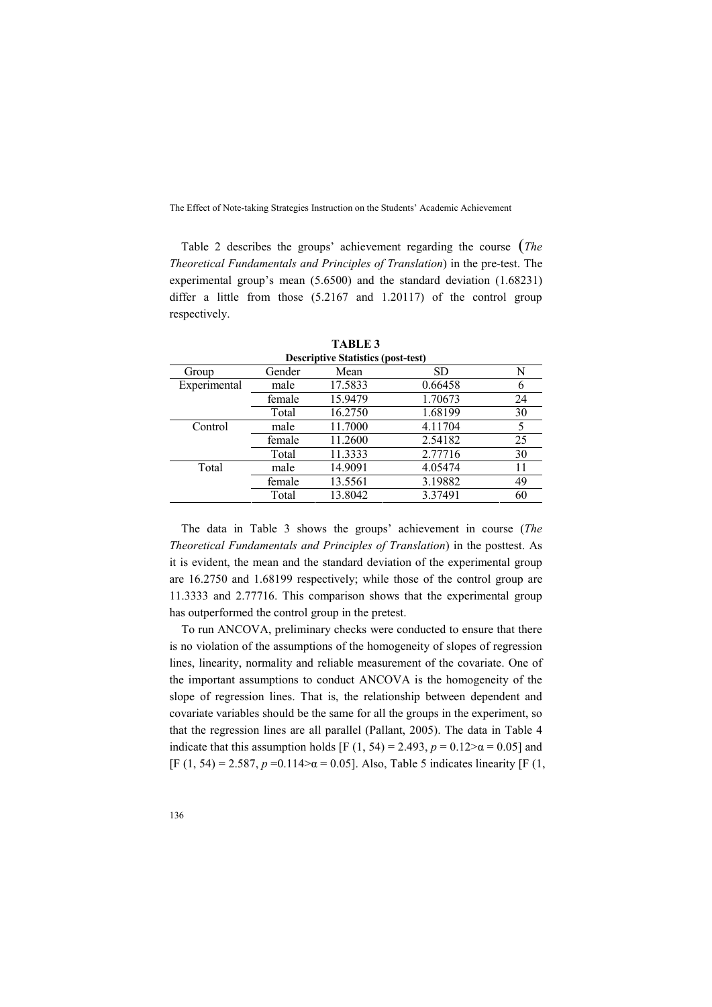Table 2 describes the groups' achievement regarding the course (*The Theoretical Fundamentals and Principles of Translation*) in the pre-test. The experimental group's mean (5.6500) and the standard deviation (1.68231) differ a little from those (5.2167 and 1.20117) of the control group respectively.

|              | <b>Descriptive Statistics (post-test)</b> |         |         |    |  |
|--------------|-------------------------------------------|---------|---------|----|--|
| Group        | Gender                                    | Mean    | SD.     | N  |  |
| Experimental | male                                      | 17.5833 | 0.66458 |    |  |
|              | female                                    | 15.9479 | 1.70673 | 24 |  |
|              | Total                                     | 16.2750 | 1.68199 | 30 |  |
| Control      | male                                      | 11.7000 | 4.11704 |    |  |
|              | female                                    | 11.2600 | 2.54182 | 25 |  |
|              | Total                                     | 11.3333 | 2.77716 | 30 |  |
| Total        | male                                      | 14.9091 | 4.05474 | 11 |  |
|              | female                                    | 13.5561 | 3.19882 | 49 |  |
|              | Total                                     | 13.8042 | 3.37491 | 60 |  |

**TABLE 3** 

The data in Table 3 shows the groups' achievement in course (*The Theoretical Fundamentals and Principles of Translation*) in the posttest. As it is evident, the mean and the standard deviation of the experimental group are 16.2750 and 1.68199 respectively; while those of the control group are 11.3333 and 2.77716. This comparison shows that the experimental group has outperformed the control group in the pretest.

To run ANCOVA, preliminary checks were conducted to ensure that there is no violation of the assumptions of the homogeneity of slopes of regression lines, linearity, normality and reliable measurement of the covariate. One of the important assumptions to conduct ANCOVA is the homogeneity of the slope of regression lines. That is, the relationship between dependent and covariate variables should be the same for all the groups in the experiment, so that the regression lines are all parallel (Pallant, 2005). The data in Table 4 indicate that this assumption holds [F (1, 54) = 2.493,  $p = 0.12 > α = 0.05$ ] and [F (1, 54) = 2.587,  $p = 0.114 > \alpha = 0.05$ ]. Also, Table 5 indicates linearity [F (1,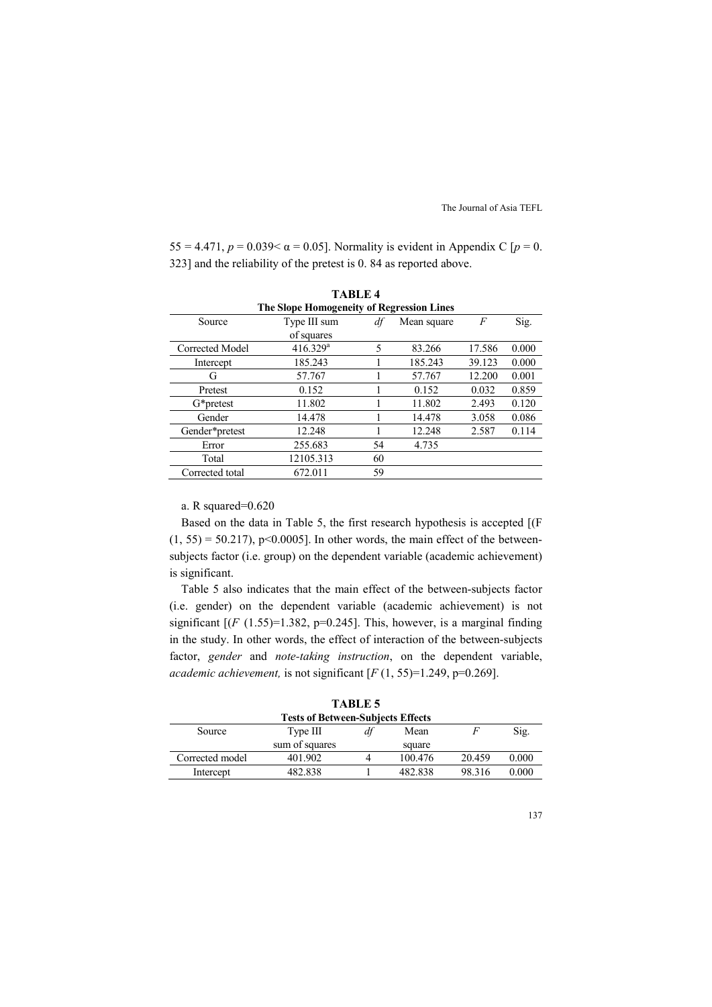55 = 4.471, *p* = 0.039 < α = 0.05]. Normality is evident in Appendix C [*p* = 0. 323] and the reliability of the pretest is 0. 84 as reported above.

| <b>TABLE 4</b>  |                                           |    |             |                  |       |  |
|-----------------|-------------------------------------------|----|-------------|------------------|-------|--|
|                 | The Slope Homogeneity of Regression Lines |    |             |                  |       |  |
| Source          | Type III sum                              | df | Mean square | $\boldsymbol{F}$ | Sig.  |  |
|                 | of squares                                |    |             |                  |       |  |
| Corrected Model | $416.329$ <sup>a</sup>                    | 5  | 83.266      | 17.586           | 0.000 |  |
| Intercept       | 185.243                                   |    | 185.243     | 39.123           | 0.000 |  |
| G               | 57.767                                    |    | 57.767      | 12.200           | 0.001 |  |
| Pretest         | 0.152                                     |    | 0.152       | 0.032            | 0.859 |  |
| G*pretest       | 11.802                                    |    | 11.802      | 2.493            | 0.120 |  |
| Gender          | 14.478                                    |    | 14.478      | 3.058            | 0.086 |  |
| Gender*pretest  | 12.248                                    |    | 12.248      | 2.587            | 0.114 |  |
| Error           | 255.683                                   | 54 | 4.735       |                  |       |  |
| Total           | 12105.313                                 | 60 |             |                  |       |  |
| Corrected total | 672.011                                   | 59 |             |                  |       |  |

#### a. R squared=0.620

Based on the data in Table 5, the first research hypothesis is accepted [(F  $(1, 55) = 50.217$ , p<0.0005]. In other words, the main effect of the betweensubjects factor (i.e. group) on the dependent variable (academic achievement) is significant.

Table 5 also indicates that the main effect of the between-subjects factor (i.e. gender) on the dependent variable (academic achievement) is not significant  $[(F (1.55)=1.382, p=0.245]$ . This, however, is a marginal finding in the study. In other words, the effect of interaction of the between-subjects factor, *gender* and *note-taking instruction*, on the dependent variable, *academic achievement,* is not significant [*F* (1, 55)=1.249, p=0.269].

| <b>Tests of Between-Subjects Effects</b> |                |    |         |        |       |
|------------------------------------------|----------------|----|---------|--------|-------|
| Source                                   | Type III       | df | Mean    |        | Sig.  |
|                                          | sum of squares |    | square  |        |       |
| Corrected model                          | 401.902        | 4  | 100.476 | 20.459 | 0.000 |
| Intercept                                | 482.838        |    | 482.838 | 98.316 | 0.000 |
|                                          |                |    |         |        |       |

**TABLE 5**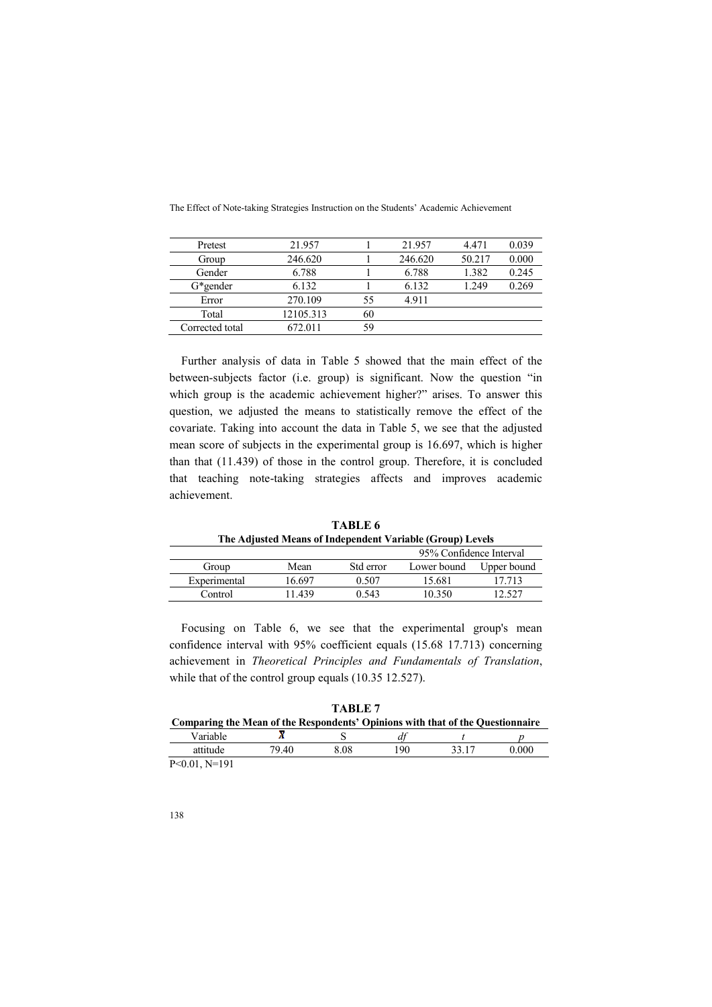| Pretest         | 21.957    |    | 21.957  | 4.471  | 0.039 |
|-----------------|-----------|----|---------|--------|-------|
| Group           | 246.620   |    | 246.620 | 50.217 | 0.000 |
| Gender          | 6.788     |    | 6.788   | 1.382  | 0.245 |
| $G*$ gender     | 6.132     |    | 6.132   | 1.249  | 0.269 |
| Error           | 270.109   | 55 | 4.911   |        |       |
| Total           | 12105.313 | 60 |         |        |       |
| Corrected total | 672.011   | 59 |         |        |       |

Further analysis of data in Table 5 showed that the main effect of the between-subjects factor (i.e. group) is significant. Now the question "in which group is the academic achievement higher?" arises. To answer this question, we adjusted the means to statistically remove the effect of the covariate. Taking into account the data in Table 5, we see that the adjusted mean score of subjects in the experimental group is 16.697, which is higher than that (11.439) of those in the control group. Therefore, it is concluded that teaching note-taking strategies affects and improves academic achievement.

**TABLE 6 The Adjusted Means of Independent Variable (Group) Levels** 

|              |        |           | 95% Confidence Interval |             |
|--------------|--------|-----------|-------------------------|-------------|
| Group        | Mean   | Std error | Lower bound             | Upper bound |
| Experimental | 16 697 | 0.507     | 15.681                  | 17 713      |
| Control      | 11 439 | 0.543     | 10 350                  | 2.527       |
|              |        |           |                         |             |

Focusing on Table 6, we see that the experimental group's mean confidence interval with 95% coefficient equals (15.68 17.713) concerning achievement in *Theoretical Principles and Fundamentals of Translation*, while that of the control group equals (10.35 12.527).

| TARLE 7         |                                                                                |      |     |       |       |
|-----------------|--------------------------------------------------------------------------------|------|-----|-------|-------|
|                 | Comparing the Mean of the Respondents' Opinions with that of the Questionnaire |      |     |       |       |
| Variable        |                                                                                |      |     |       |       |
| attitude        | 79 40                                                                          | 8 08 | 190 | 33.17 | 0.000 |
| _ _ _ _ _ _ _ _ |                                                                                |      |     |       |       |

P<0.01, N=191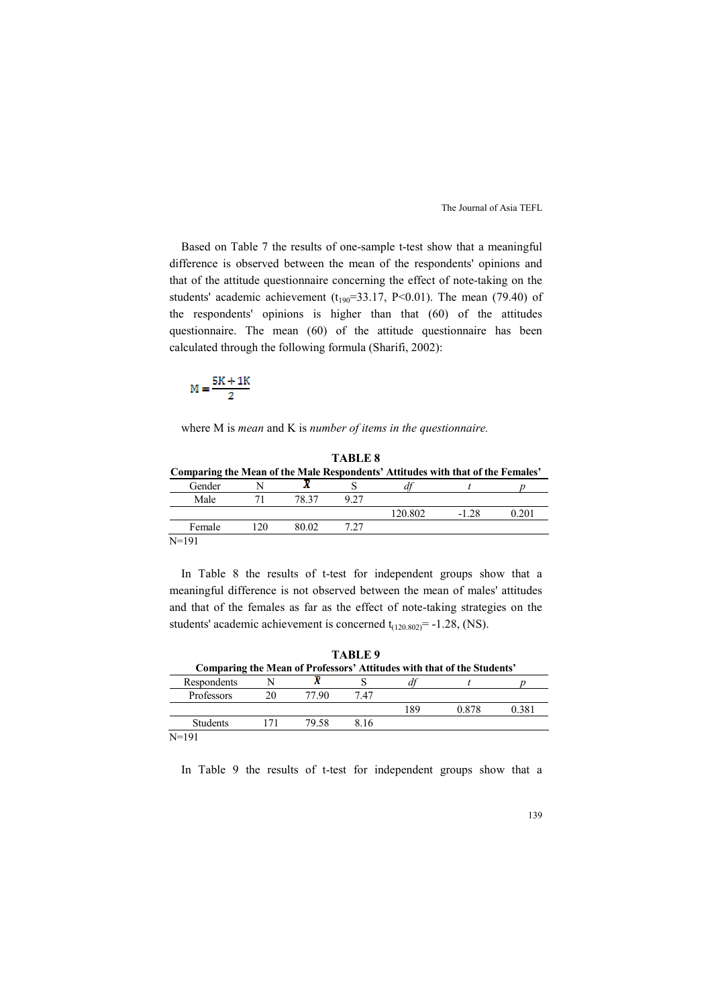Based on Table 7 the results of one-sample t-test show that a meaningful difference is observed between the mean of the respondents' opinions and that of the attitude questionnaire concerning the effect of note-taking on the students' academic achievement ( $t_{190}$ =33.17, P<0.01). The mean (79.40) of the respondents' opinions is higher than that (60) of the attitudes questionnaire. The mean (60) of the attitude questionnaire has been calculated through the following formula (Sharifi, 2002):

$$
M=\frac{5K+1K}{2}
$$

where M is *mean* and K is *number of items in the questionnaire.*

**TABLE 8 Comparing the Mean of the Male Respondents' Attitudes with that of the Females'** Gender  $N$   $\overline{X}$   $S$   $df$   $t$   $n$ Gender N **X** S *df* t *p* Male 71 78.37 9.27 120.802 -1.28 0.201 Female 120 80.02 7.27

N=191

In Table 8 the results of t-test for independent groups show that a meaningful difference is not observed between the mean of males' attitudes and that of the females as far as the effect of note-taking strategies on the students' academic achievement is concerned  $t_{(120.802)} = -1.28$ , (NS).

|                 | TABLE 9 |       |      |     |                                                                        |       |
|-----------------|---------|-------|------|-----|------------------------------------------------------------------------|-------|
|                 |         |       |      |     | Comparing the Mean of Professors' Attitudes with that of the Students' |       |
| Respondents     | N       |       |      | и   |                                                                        |       |
| Professors      | 20      | 77 90 | 7 47 |     |                                                                        |       |
|                 |         |       |      | 189 | 0.878                                                                  | 0.381 |
| <b>Students</b> | 171     | 79.58 | 816  |     |                                                                        |       |
| $N = 191$       |         |       |      |     |                                                                        |       |

In Table 9 the results of t-test for independent groups show that a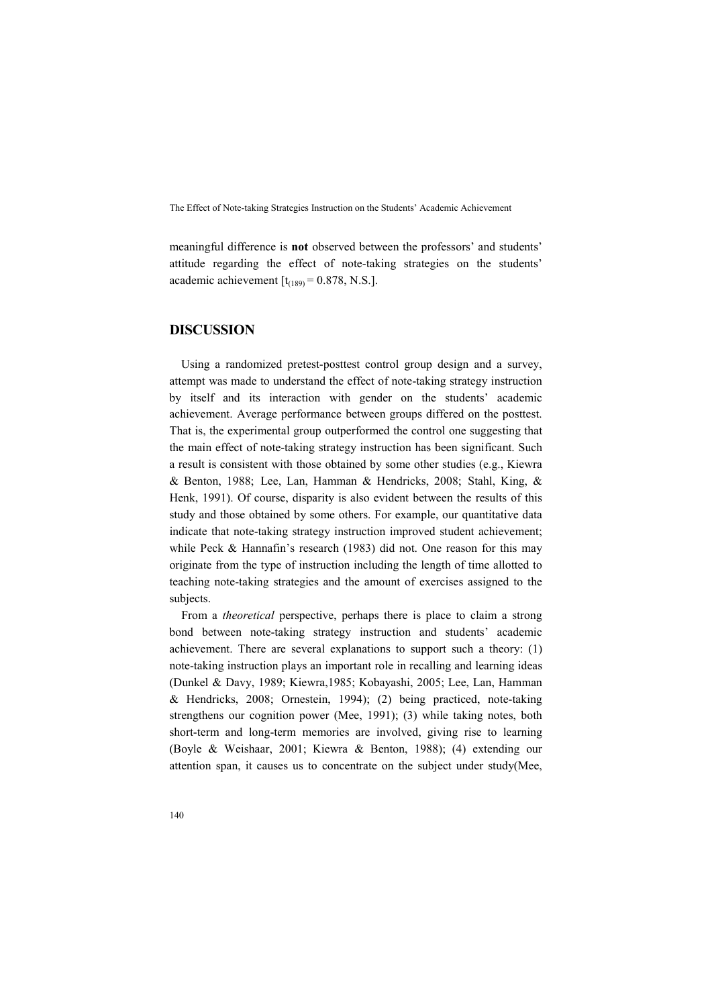meaningful difference is **not** observed between the professors' and students' attitude regarding the effect of note-taking strategies on the students' academic achievement  $[t<sub>(189)</sub> = 0.878, N.S.]$ .

#### **DISCUSSION**

Using a randomized pretest-posttest control group design and a survey, attempt was made to understand the effect of note-taking strategy instruction by itself and its interaction with gender on the students' academic achievement. Average performance between groups differed on the posttest. That is, the experimental group outperformed the control one suggesting that the main effect of note-taking strategy instruction has been significant. Such a result is consistent with those obtained by some other studies (e.g., Kiewra & Benton, 1988; Lee, Lan, Hamman & Hendricks, 2008; Stahl, King, & Henk, 1991). Of course, disparity is also evident between the results of this study and those obtained by some others. For example, our quantitative data indicate that note-taking strategy instruction improved student achievement; while Peck & Hannafin's research (1983) did not. One reason for this may originate from the type of instruction including the length of time allotted to teaching note-taking strategies and the amount of exercises assigned to the subjects.

From a *theoretical* perspective, perhaps there is place to claim a strong bond between note-taking strategy instruction and students' academic achievement. There are several explanations to support such a theory: (1) note-taking instruction plays an important role in recalling and learning ideas (Dunkel & Davy, 1989; Kiewra,1985; Kobayashi, 2005; Lee, Lan, Hamman & Hendricks, 2008; Ornestein, 1994); (2) being practiced, note-taking strengthens our cognition power (Mee, 1991); (3) while taking notes, both short-term and long-term memories are involved, giving rise to learning (Boyle & Weishaar, 2001; Kiewra & Benton, 1988); (4) extending our attention span, it causes us to concentrate on the subject under study(Mee,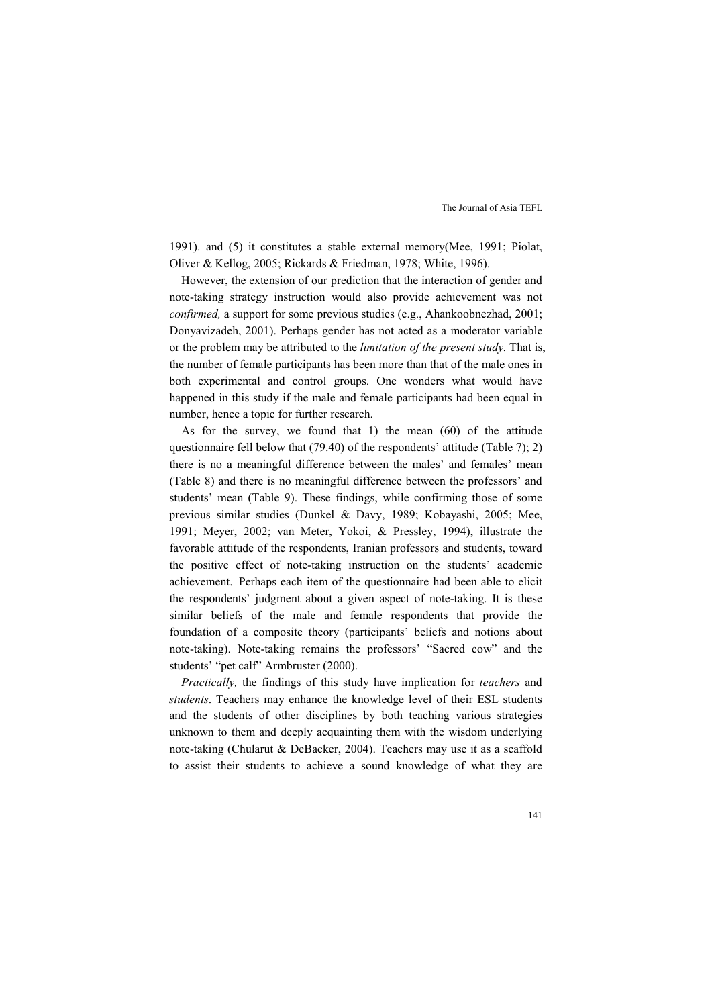1991). and (5) it constitutes a stable external memory(Mee, 1991; Piolat, Oliver & Kellog, 2005; Rickards & Friedman, 1978; White, 1996).

However, the extension of our prediction that the interaction of gender and note-taking strategy instruction would also provide achievement was not *confirmed,* a support for some previous studies (e.g., Ahankoobnezhad, 2001; Donyavizadeh, 2001). Perhaps gender has not acted as a moderator variable or the problem may be attributed to the *limitation of the present study.* That is, the number of female participants has been more than that of the male ones in both experimental and control groups. One wonders what would have happened in this study if the male and female participants had been equal in number, hence a topic for further research.

As for the survey, we found that 1) the mean (60) of the attitude questionnaire fell below that (79.40) of the respondents' attitude (Table 7); 2) there is no a meaningful difference between the males' and females' mean (Table 8) and there is no meaningful difference between the professors' and students' mean (Table 9). These findings, while confirming those of some previous similar studies (Dunkel & Davy, 1989; Kobayashi, 2005; Mee, 1991; Meyer, 2002; van Meter, Yokoi, & Pressley, 1994), illustrate the favorable attitude of the respondents, Iranian professors and students, toward the positive effect of note-taking instruction on the students' academic achievement. Perhaps each item of the questionnaire had been able to elicit the respondents' judgment about a given aspect of note-taking. It is these similar beliefs of the male and female respondents that provide the foundation of a composite theory (participants' beliefs and notions about note-taking). Note-taking remains the professors' "Sacred cow" and the students' "pet calf" Armbruster (2000).

*Practically,* the findings of this study have implication for *teachers* and *students*. Teachers may enhance the knowledge level of their ESL students and the students of other disciplines by both teaching various strategies unknown to them and deeply acquainting them with the wisdom underlying note-taking (Chularut & DeBacker, 2004). Teachers may use it as a scaffold to assist their students to achieve a sound knowledge of what they are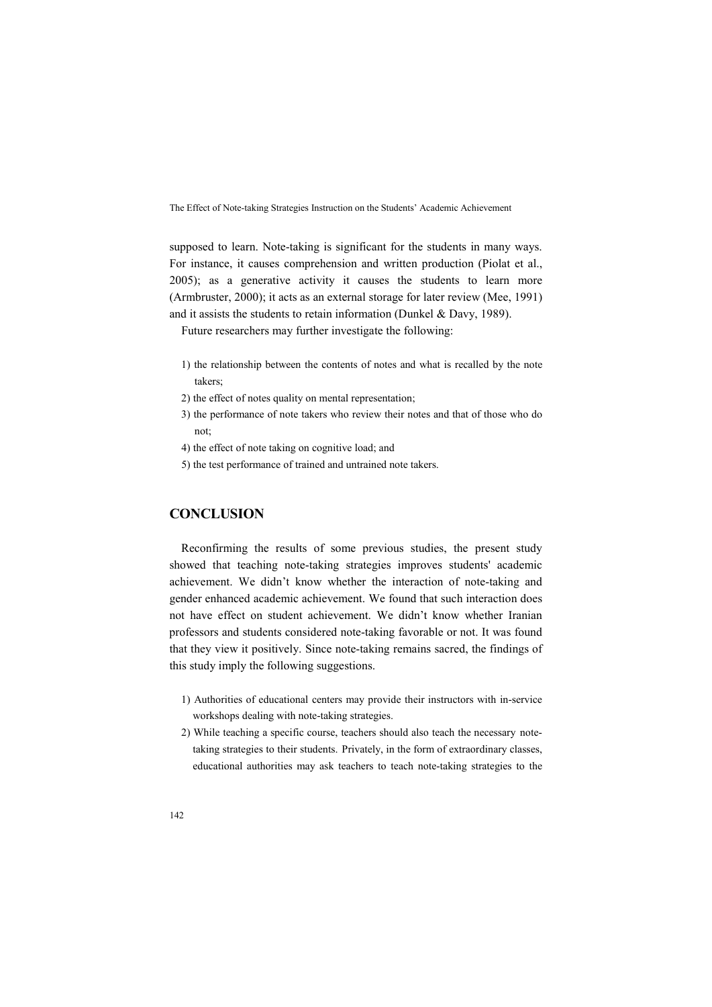supposed to learn. Note-taking is significant for the students in many ways. For instance, it causes comprehension and written production (Piolat et al., 2005); as a generative activity it causes the students to learn more (Armbruster, 2000); it acts as an external storage for later review (Mee, 1991) and it assists the students to retain information (Dunkel & Davy, 1989).

Future researchers may further investigate the following:

- 1) the relationship between the contents of notes and what is recalled by the note takers;
- 2) the effect of notes quality on mental representation;
- 3) the performance of note takers who review their notes and that of those who do not;
- 4) the effect of note taking on cognitive load; and
- 5) the test performance of trained and untrained note takers.

## **CONCLUSION**

Reconfirming the results of some previous studies, the present study showed that teaching note-taking strategies improves students' academic achievement. We didn't know whether the interaction of note-taking and gender enhanced academic achievement. We found that such interaction does not have effect on student achievement. We didn't know whether Iranian professors and students considered note-taking favorable or not. It was found that they view it positively. Since note-taking remains sacred, the findings of this study imply the following suggestions.

- 1) Authorities of educational centers may provide their instructors with in-service workshops dealing with note-taking strategies.
- 2) While teaching a specific course, teachers should also teach the necessary notetaking strategies to their students. Privately, in the form of extraordinary classes, educational authorities may ask teachers to teach note-taking strategies to the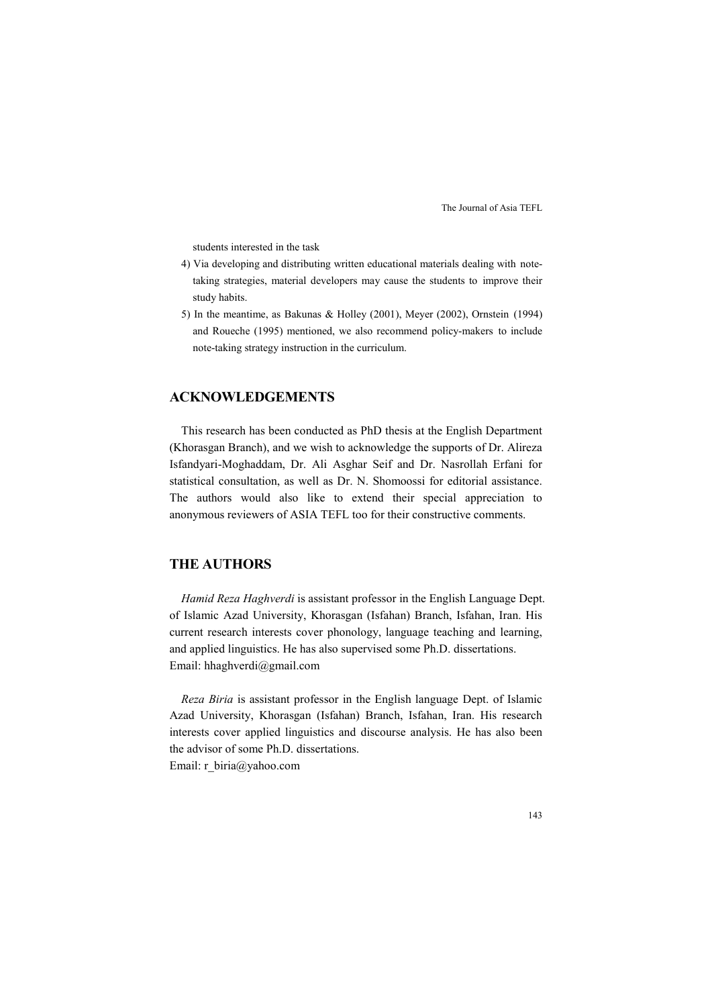students interested in the task

- 4) Via developing and distributing written educational materials dealing with notetaking strategies, material developers may cause the students to improve their study habits.
- 5) In the meantime, as Bakunas & Holley (2001), Meyer (2002), Ornstein (1994) and Roueche (1995) mentioned, we also recommend policy-makers to include note-taking strategy instruction in the curriculum.

### **ACK OWLEDGEME TS**

This research has been conducted as PhD thesis at the English Department (Khorasgan Branch), and we wish to acknowledge the supports of Dr. Alireza Isfandyari-Moghaddam, Dr. Ali Asghar Seif and Dr. Nasrollah Erfani for statistical consultation, as well as Dr. N. Shomoossi for editorial assistance. The authors would also like to extend their special appreciation to anonymous reviewers of ASIA TEFL too for their constructive comments.

## **THE AUTHORS**

*Hamid Reza Haghverdi* is assistant professor in the English Language Dept. of Islamic Azad University, Khorasgan (Isfahan) Branch, Isfahan, Iran. His current research interests cover phonology, language teaching and learning, and applied linguistics. He has also supervised some Ph.D. dissertations. Email: hhaghverdi@gmail.com

*Reza Biria* is assistant professor in the English language Dept. of Islamic Azad University, Khorasgan (Isfahan) Branch, Isfahan, Iran. His research interests cover applied linguistics and discourse analysis. He has also been the advisor of some Ph.D. dissertations. Email: r\_biria@yahoo.com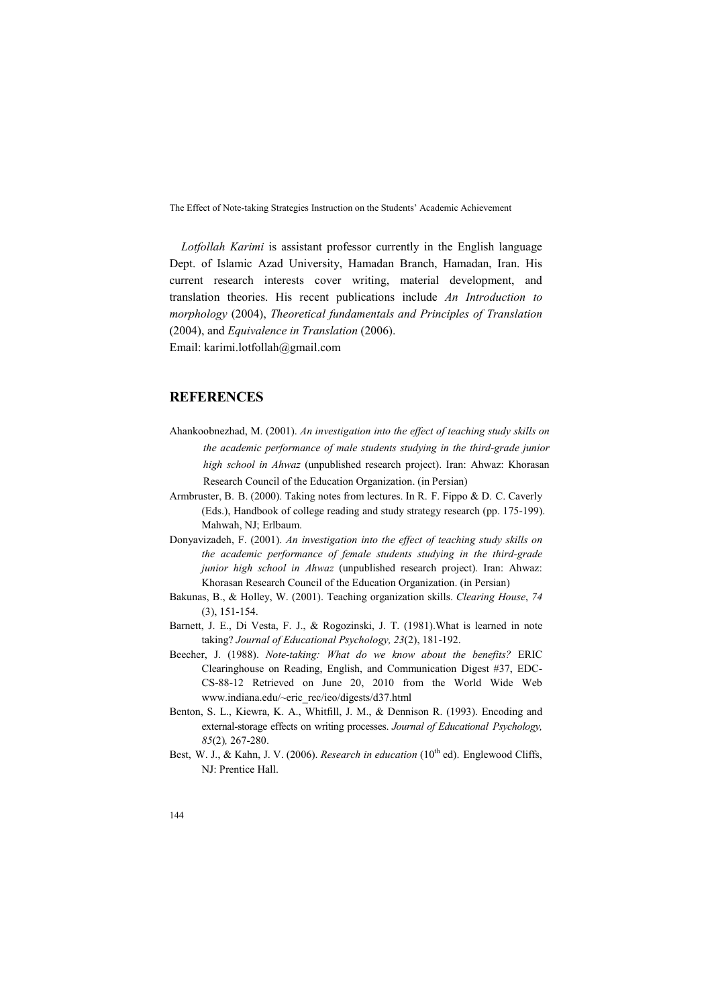*Lotfollah Karimi* is assistant professor currently in the English language Dept. of Islamic Azad University, Hamadan Branch, Hamadan, Iran. His current research interests cover writing, material development, and translation theories. His recent publications include *An Introduction to morphology* (2004), *Theoretical fundamentals and Principles of Translation* (2004), and *Equivalence in Translation* (2006). Email: karimi.lotfollah@gmail.com

#### **REFERENCES**

- Ahankoobnezhad, M. (2001). *An investigation into the effect of teaching study skills on the academic performance of male students studying in the third-grade junior high school in Ahwaz* (unpublished research project). Iran: Ahwaz: Khorasan Research Council of the Education Organization. (in Persian)
- Armbruster, B. B. (2000). Taking notes from lectures. In R. F. Fippo & D. C. Caverly (Eds.), Handbook of college reading and study strategy research (pp. 175-199). Mahwah, NJ; Erlbaum.
- Donyavizadeh, F. (2001). *An investigation into the effect of teaching study skills on the academic performance of female students studying in the third-grade junior high school in Ahwaz* (unpublished research project). Iran: Ahwaz: Khorasan Research Council of the Education Organization. (in Persian)
- Bakunas, B., & Holley, W. (2001). Teaching organization skills. *Clearing House*, *74* (3), 151-154.
- Barnett, J. E., Di Vesta, F. J., & Rogozinski, J. T. (1981).What is learned in note taking? *Journal of Educational Psychology, 23*(2), 181-192.
- Beecher, J. (1988). *Note-taking: What do we know about the benefits?* ERIC Clearinghouse on Reading, English, and Communication Digest #37, EDC-CS-88-12 Retrieved on June 20, 2010 from the World Wide Web www.indiana.edu/~eric\_rec/ieo/digests/d37.html
- Benton, S. L., Kiewra, K. A., Whitfill, J. M., & Dennison R. (1993). Encoding and external-storage effects on writing processes. *Journal of Educational Psychology, 85*(2)*,* 267-280.
- Best, W. J., & Kahn, J. V. (2006). *Research in education* (10<sup>th</sup> ed). Englewood Cliffs, NJ: Prentice Hall.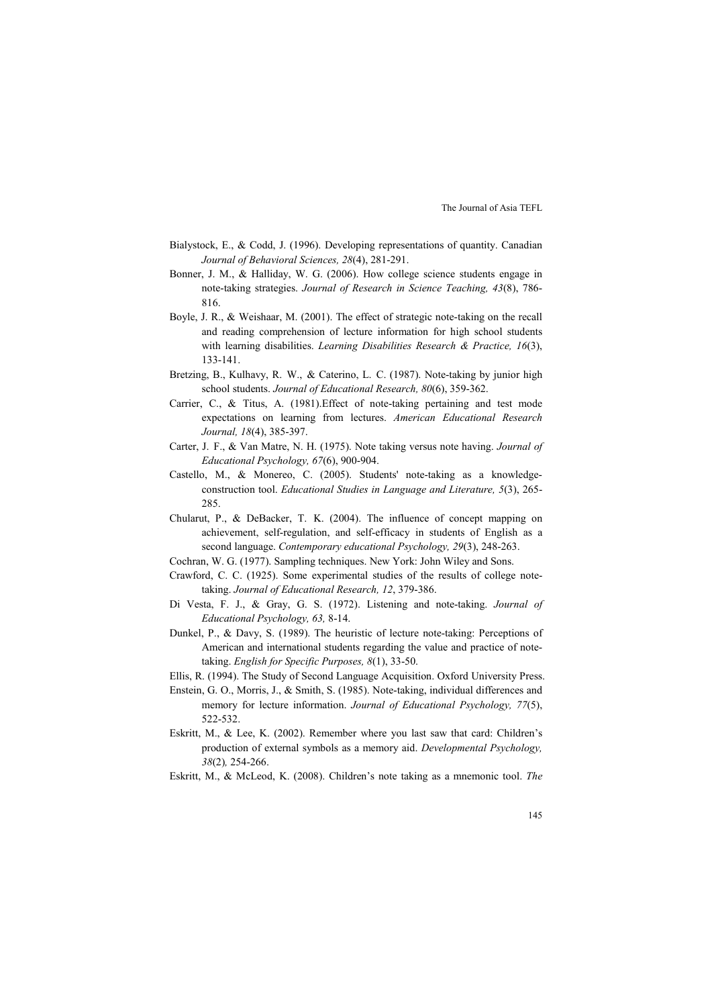- Bialystock, E., & Codd, J. (1996). Developing representations of quantity. Canadian *Journal of Behavioral Sciences, 28*(4), 281-291.
- Bonner, J. M., & Halliday, W. G. (2006). How college science students engage in note-taking strategies. *Journal of Research in Science Teaching, 43*(8), 786- 816.
- Boyle, J. R., & Weishaar, M. (2001). The effect of strategic note-taking on the recall and reading comprehension of lecture information for high school students with learning disabilities. *Learning Disabilities Research & Practice, 16*(3), 133-141.
- Bretzing, B., Kulhavy, R. W., & Caterino, L. C. (1987). Note-taking by junior high school students. *Journal of Educational Research, 80*(6), 359-362.
- Carrier, C., & Titus, A. (1981).Effect of note-taking pertaining and test mode expectations on learning from lectures. *American Educational Research Journal, 18*(4), 385-397.
- Carter, J. F., & Van Matre, N. H. (1975). Note taking versus note having. *Journal of Educational Psychology, 67*(6), 900-904.
- Castello, M., & Monereo, C. (2005). Students' note-taking as a knowledgeconstruction tool. *Educational Studies in Language and Literature, 5*(3), 265- 285.
- Chularut, P., & DeBacker, T. K. (2004). The influence of concept mapping on achievement, self-regulation, and self-efficacy in students of English as a second language. *Contemporary educational Psychology, 29*(3), 248-263.
- Cochran, W. G. (1977). Sampling techniques. New York: John Wiley and Sons.
- Crawford, C. C. (1925). Some experimental studies of the results of college notetaking. *Journal of Educational Research, 12*, 379-386.
- Di Vesta, F. J., & Gray, G. S. (1972). Listening and note-taking. *Journal of Educational Psychology, 63,* 8-14.
- Dunkel, P., & Davy, S. (1989). The heuristic of lecture note-taking: Perceptions of American and international students regarding the value and practice of notetaking. *English for Specific Purposes, 8*(1), 33-50.
- Ellis, R. (1994). The Study of Second Language Acquisition. Oxford University Press.
- Enstein, G. O., Morris, J., & Smith, S. (1985). Note-taking, individual differences and memory for lecture information. *Journal of Educational Psychology, 77*(5), 522-532.
- Eskritt, M., & Lee, K. (2002). Remember where you last saw that card: Children's production of external symbols as a memory aid. *Developmental Psychology, 38*(2)*,* 254-266.
- Eskritt, M., & McLeod, K. (2008). Children's note taking as a mnemonic tool. *The*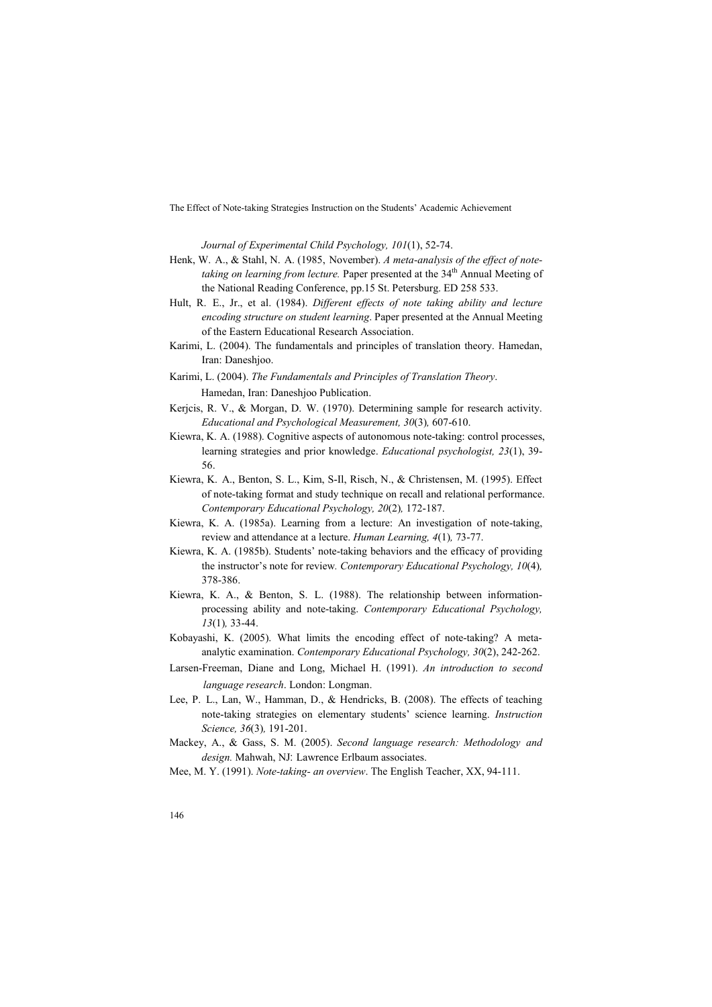*Journal of Experimental Child Psychology, 101*(1), 52-74.

- Henk, W. A., & Stahl, N. A. (1985, November). *A meta-analysis of the effect of note*taking on learning from lecture. Paper presented at the 34<sup>th</sup> Annual Meeting of the National Reading Conference, pp.15 St. Petersburg. ED 258 533.
- Hult, R. E., Jr., et al. (1984). *Different effects of note taking ability and lecture encoding structure on student learning*. Paper presented at the Annual Meeting of the Eastern Educational Research Association.
- Karimi, L. (2004). The fundamentals and principles of translation theory. Hamedan, Iran: Daneshjoo.
- Karimi, L. (2004). *The Fundamentals and Principles of Translation Theory*. Hamedan, Iran: Daneshjoo Publication.
- Kerjcis, R. V., & Morgan, D. W. (1970). Determining sample for research activity. *Educational and Psychological Measurement, 30*(3)*,* 607-610.
- Kiewra, K. A. (1988). Cognitive aspects of autonomous note-taking: control processes, learning strategies and prior knowledge. *Educational psychologist, 23*(1), 39- 56.
- Kiewra, K. A., Benton, S. L., Kim, S-Il, Risch, N., & Christensen, M. (1995). Effect of note-taking format and study technique on recall and relational performance. *Contemporary Educational Psychology, 20*(2)*,* 172-187.
- Kiewra, K. A. (1985a). Learning from a lecture: An investigation of note-taking, review and attendance at a lecture. *Human Learning, 4*(1)*,* 73-77.
- Kiewra, K. A. (1985b). Students' note-taking behaviors and the efficacy of providing the instructor's note for review*. Contemporary Educational Psychology, 10*(4)*,* 378-386.
- Kiewra, K. A., & Benton, S. L. (1988). The relationship between informationprocessing ability and note-taking. *Contemporary Educational Psychology, 13*(1)*,* 33-44.
- Kobayashi, K. (2005). What limits the encoding effect of note-taking? A metaanalytic examination. *Contemporary Educational Psychology, 30*(2), 242-262.
- Larsen-Freeman, Diane and Long, Michael H. (1991). *An introduction to second language research*. London: Longman.
- Lee, P. L., Lan, W., Hamman, D., & Hendricks, B. (2008). The effects of teaching note-taking strategies on elementary students' science learning. *Instruction Science, 36*(3)*,* 191-201.
- Mackey, A., & Gass, S. M. (2005). *Second language research: Methodology and design.* Mahwah, NJ: Lawrence Erlbaum associates.

Mee, M. Y. (1991). *Note-taking- an overview*. The English Teacher, XX, 94-111.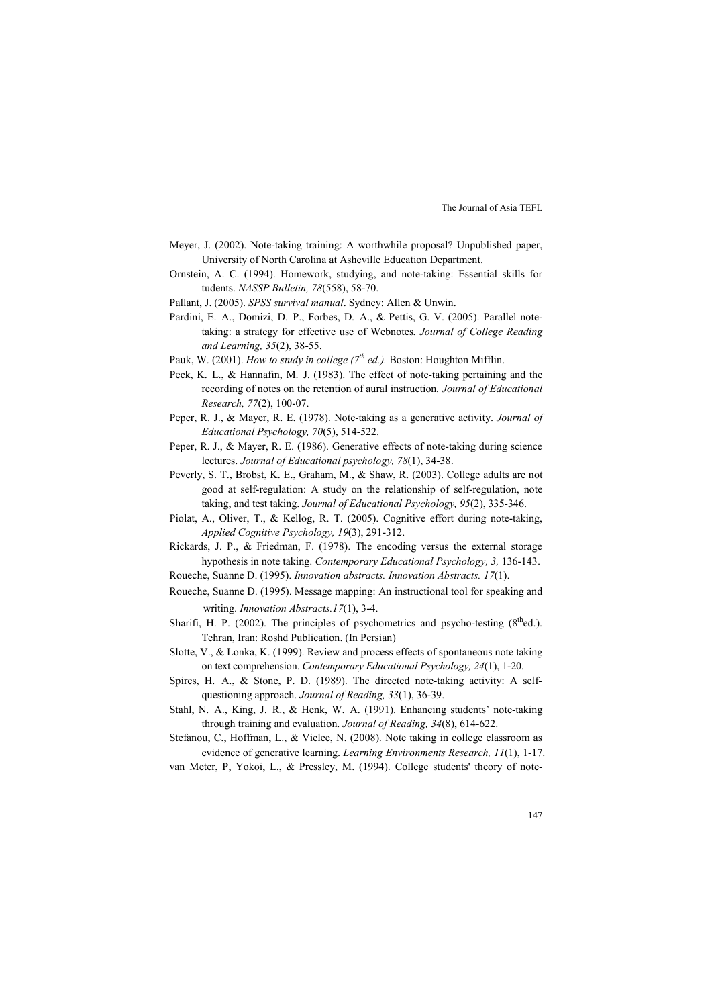- Meyer, J. (2002). Note-taking training: A worthwhile proposal? Unpublished paper, University of North Carolina at Asheville Education Department.
- Ornstein, A. C. (1994). Homework, studying, and note-taking: Essential skills for tudents. *4ASSP Bulletin, 78*(558), 58-70.
- Pallant, J. (2005). *SPSS survival manual*. Sydney: Allen & Unwin.
- Pardini, E. A., Domizi, D. P., Forbes, D. A., & Pettis, G. V. (2005). Parallel notetaking: a strategy for effective use of Webnotes*. Journal of College Reading and Learning, 35*(2), 38-55.
- Pauk, W. (2001). *How to study in college (7th ed.).* Boston: Houghton Mifflin.
- Peck, K. L., & Hannafin, M. J. (1983). The effect of note-taking pertaining and the recording of notes on the retention of aural instruction*. Journal of Educational Research, 77*(2), 100-07.
- Peper, R. J., & Mayer, R. E. (1978). Note-taking as a generative activity. *Journal of Educational Psychology, 70*(5), 514-522.
- Peper, R. J., & Mayer, R. E. (1986). Generative effects of note-taking during science lectures. *Journal of Educational psychology, 78*(1), 34-38.
- Peverly, S. T., Brobst, K. E., Graham, M., & Shaw, R. (2003). College adults are not good at self-regulation: A study on the relationship of self-regulation, note taking, and test taking. *Journal of Educational Psychology, 95*(2), 335-346.
- Piolat, A., Oliver, T., & Kellog, R. T. (2005). Cognitive effort during note-taking, *Applied Cognitive Psychology, 19*(3), 291-312.
- Rickards, J. P., & Friedman, F. (1978). The encoding versus the external storage hypothesis in note taking. *Contemporary Educational Psychology, 3,* 136-143.
- Roueche, Suanne D. (1995). *Innovation abstracts. Innovation Abstracts. 17*(1).
- Roueche, Suanne D. (1995). Message mapping: An instructional tool for speaking and writing. *Innovation Abstracts.17*(1), 3-4.
- Sharifi, H. P. (2002). The principles of psychometrics and psycho-testing  $(8<sup>th</sup>ed.)$ . Tehran, Iran: Roshd Publication. (In Persian)
- Slotte, V., & Lonka, K. (1999). Review and process effects of spontaneous note taking on text comprehension. *Contemporary Educational Psychology, 24*(1), 1-20.
- Spires, H. A., & Stone, P. D. (1989). The directed note-taking activity: A selfquestioning approach. *Journal of Reading, 33*(1), 36-39.
- Stahl, N. A., King, J. R., & Henk, W. A. (1991). Enhancing students' note-taking through training and evaluation. *Journal of Reading, 34*(8), 614-622.
- Stefanou, C., Hoffman, L., & Vielee, N. (2008). Note taking in college classroom as evidence of generative learning. *Learning Environments Research, 11*(1), 1-17.

van Meter, P, Yokoi, L., & Pressley, M. (1994). College students' theory of note-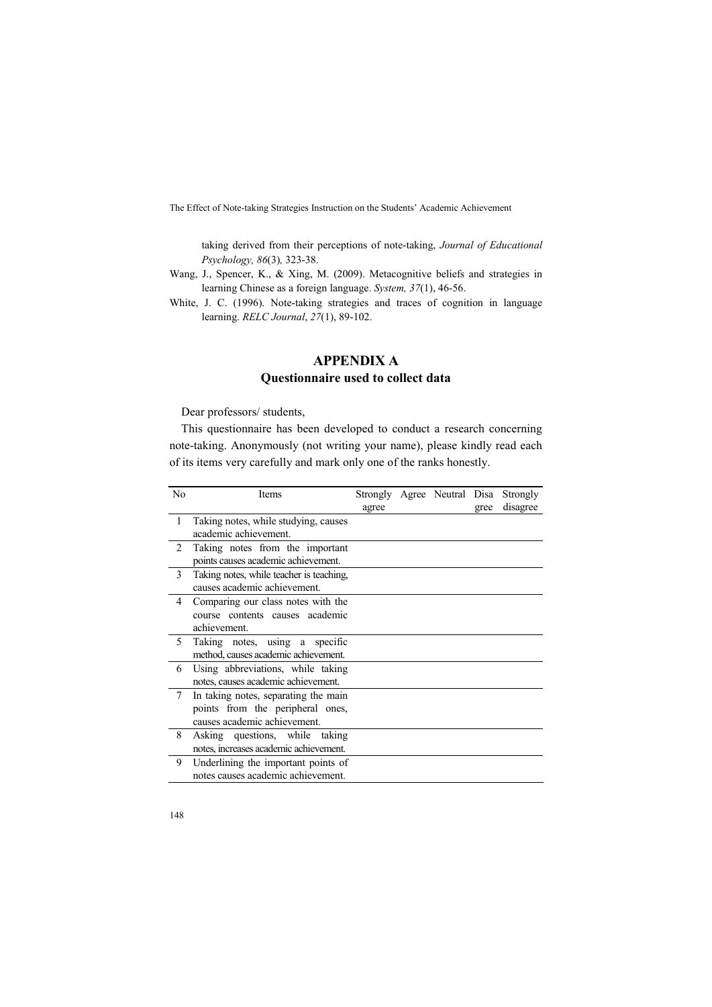taking derived from their perceptions of note-taking, *Journal of Educational Psychology, 86*(3)*,* 323-38.

- Wang, J., Spencer, K., & Xing, M. (2009). Metacognitive beliefs and strategies in learning Chinese as a foreign language. *System, 37*(1), 46-56.
- White, J. C. (1996). Note-taking strategies and traces of cognition in language learning. *RELC Journal*, *27*(1), 89-102.

## **APPENDIX A Questionnaire used to collect data**

Dear professors/ students,

This questionnaire has been developed to conduct a research concerning note-taking. Anonymously (not writing your name), please kindly read each of its items very carefully and mark only one of the ranks honestly.

| No | Items                                    | Strongly Agree Neutral Disa |  |      | Strongly |
|----|------------------------------------------|-----------------------------|--|------|----------|
|    |                                          | agree                       |  | gree | disagree |
| 1  | Taking notes, while studying, causes     |                             |  |      |          |
|    | academic achievement.                    |                             |  |      |          |
| 2  | Taking notes from the important          |                             |  |      |          |
|    | points causes academic achievement.      |                             |  |      |          |
| 3  | Taking notes, while teacher is teaching. |                             |  |      |          |
|    | causes academic achievement.             |                             |  |      |          |
| 4  | Comparing our class notes with the       |                             |  |      |          |
|    | course contents causes academic          |                             |  |      |          |
|    | achievement.                             |                             |  |      |          |
| 5  | Taking notes, using a specific           |                             |  |      |          |
|    | method, causes academic achievement.     |                             |  |      |          |
| 6  | Using abbreviations, while taking        |                             |  |      |          |
|    | notes, causes academic achievement.      |                             |  |      |          |
| 7  | In taking notes, separating the main     |                             |  |      |          |
|    | points from the peripheral ones,         |                             |  |      |          |
|    | causes academic achievement.             |                             |  |      |          |
| 8  | Asking questions, while taking           |                             |  |      |          |
|    | notes, increases academic achievement.   |                             |  |      |          |
| 9  | Underlining the important points of      |                             |  |      |          |
|    | notes causes academic achievement.       |                             |  |      |          |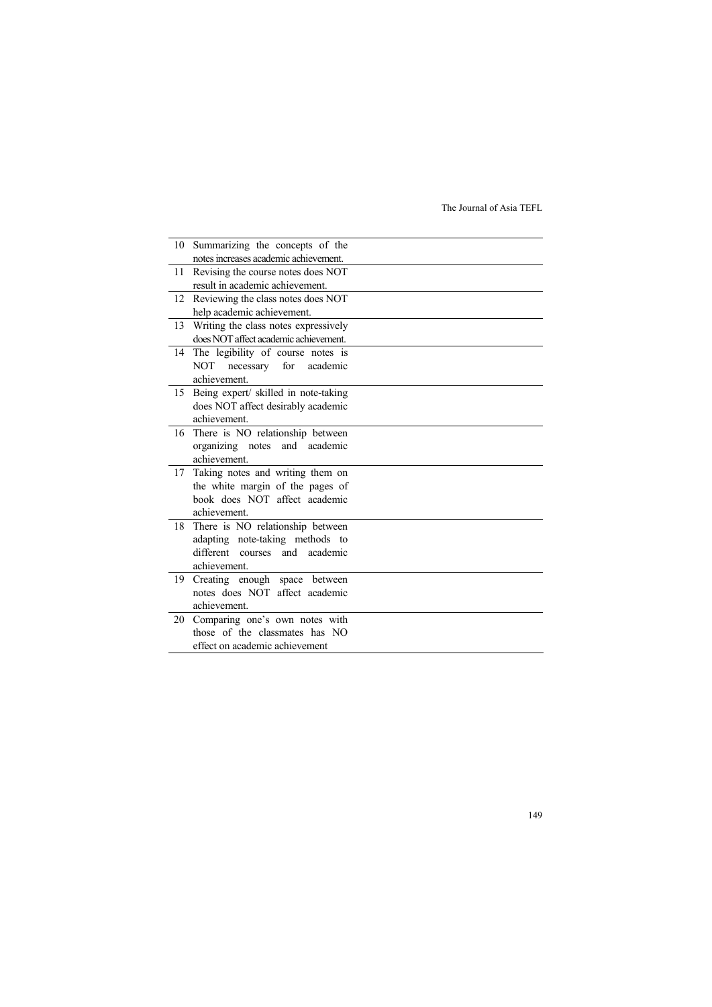| 10 | Summarizing the concepts of the       |  |
|----|---------------------------------------|--|
|    | notes increases academic achievement. |  |
| 11 | Revising the course notes does NOT    |  |
|    | result in academic achievement.       |  |
| 12 | Reviewing the class notes does NOT    |  |
|    | help academic achievement.            |  |
| 13 | Writing the class notes expressively  |  |
|    | does NOT affect academic achievement. |  |
| 14 | The legibility of course notes is     |  |
|    | necessary for academic<br>NOT         |  |
|    | achievement.                          |  |
| 15 | Being expert/ skilled in note-taking  |  |
|    | does NOT affect desirably academic    |  |
|    | achievement.                          |  |
| 16 | There is NO relationship between      |  |
|    | organizing notes and academic         |  |
|    | achievement.                          |  |
| 17 | Taking notes and writing them on      |  |
|    | the white margin of the pages of      |  |
|    | book does NOT affect academic         |  |
|    | achievement.                          |  |
| 18 | There is NO relationship between      |  |
|    | adapting note-taking methods to       |  |
|    | different courses and academic        |  |
|    | achievement.                          |  |
| 19 | Creating enough space between         |  |
|    | notes does NOT affect academic        |  |
|    | achievement.                          |  |
| 20 | Comparing one's own notes with        |  |
|    | those of the classmates has NO        |  |
|    | effect on academic achievement        |  |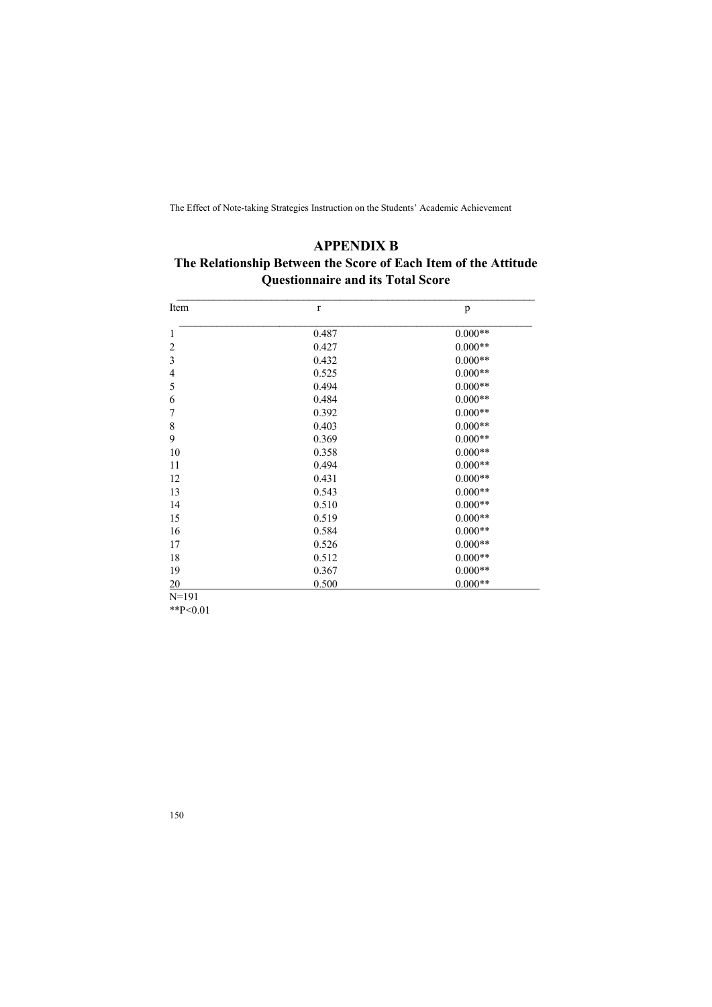## **APPENDIX B The Relationship Between the Score of Each Item of the Attitude Questionnaire and its Total Score**

| Item                     | $\mathbf{r}$ | p         |
|--------------------------|--------------|-----------|
| 1                        | 0.487        | $0.000**$ |
| $\overline{c}$           | 0.427        | $0.000**$ |
| 3                        | 0.432        | $0.000**$ |
| $\overline{\mathcal{L}}$ | 0.525        | $0.000**$ |
| 5                        | 0.494        | $0.000**$ |
| 6                        | 0.484        | $0.000**$ |
| 7                        | 0.392        | $0.000**$ |
| 8                        | 0.403        | $0.000**$ |
| 9                        | 0.369        | $0.000**$ |
| 10                       | 0.358        | $0.000**$ |
| 11                       | 0.494        | $0.000**$ |
| 12                       | 0.431        | $0.000**$ |
| 13                       | 0.543        | $0.000**$ |
| 14                       | 0.510        | $0.000**$ |
| 15                       | 0.519        | $0.000**$ |
| 16                       | 0.584        | $0.000**$ |
| 17                       | 0.526        | $0.000**$ |
| 18                       | 0.512        | $0.000**$ |
| 19                       | 0.367        | $0.000**$ |
| 20                       | 0.500        | $0.000**$ |

\*\*P<0.01